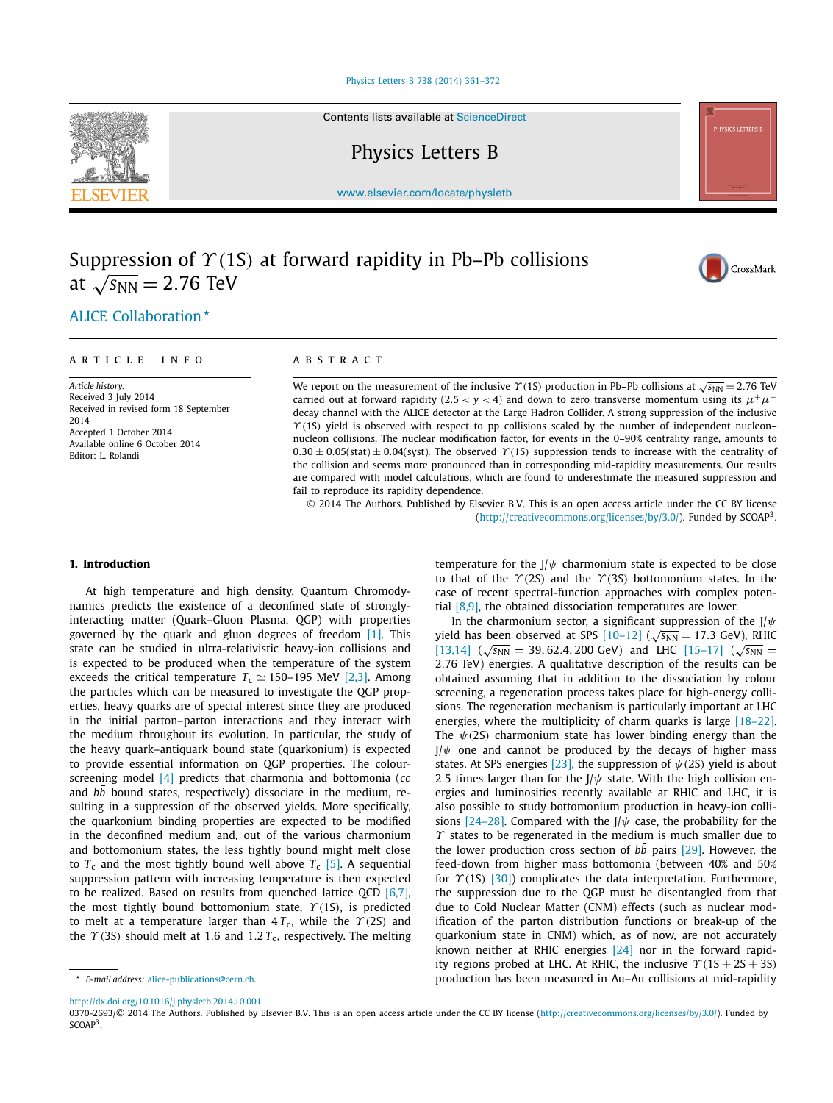#### [Physics Letters B 738 \(2014\) 361–372](http://dx.doi.org/10.1016/j.physletb.2014.10.001)



Contents lists available at [ScienceDirect](http://www.ScienceDirect.com/)

Physics Letters B

[www.elsevier.com/locate/physletb](http://www.elsevier.com/locate/physletb)

# Suppression of *Υ (*1S*)* at forward rapidity in Pb–Pb collisions at  $\sqrt{s_{NN}}$  = 2.76 TeV





## .ALICE [Collaboration](#page-7-0)

#### A R T I C L E I N F O A B S T R A C T

*Article history:* Received 3 July 2014 Received in revised form 18 September 2014 Accepted 1 October 2014 Available online 6 October 2014 Editor: L. Rolandi

We report on the measurement of the inclusive  $\gamma$  (1S) production in Pb–Pb collisions at  $\sqrt{s_{NN}} = 2.76$  TeV carried out at forward rapidity (2.5 <  $y$  < 4) and down to zero transverse momentum using its  $\mu^+ \mu^$ decay channel with the ALICE detector at the Large Hadron Collider. A strong suppression of the inclusive *Υ (*1S*)* yield is observed with respect to pp collisions scaled by the number of independent nucleon– nucleon collisions. The nuclear modification factor, for events in the 0–90% centrality range, amounts to 0*.*30 ± 0*.*05(stat) ± 0*.*04(syst). The observed *Υ (*1S*)* suppression tends to increase with the centrality of the collision and seems more pronounced than in corresponding mid-rapidity measurements. Our results are compared with model calculations, which are found to underestimate the measured suppression and fail to reproduce its rapidity dependence.

© 2014 The Authors. Published by Elsevier B.V. This is an open access article under the CC BY license [\(http://creativecommons.org/licenses/by/3.0/\)](http://creativecommons.org/licenses/by/3.0/). Funded by SCOAP3.

#### **1. Introduction**

At high temperature and high density, Quantum Chromodynamics predicts the existence of a deconfined state of stronglyinteracting matter (Quark–Gluon Plasma, QGP) with properties governed by the quark and gluon degrees of freedom [\[1\].](#page-6-0) This state can be studied in ultra-relativistic heavy-ion collisions and is expected to be produced when the temperature of the system exceeds the critical temperature  $T_c \simeq 150-195$  MeV [\[2,3\].](#page-6-0) Among the particles which can be measured to investigate the QGP properties, heavy quarks are of special interest since they are produced in the initial parton–parton interactions and they interact with the medium throughout its evolution. In particular, the study of the heavy quark–antiquark bound state (quarkonium) is expected to provide essential information on QGP properties. The colourscreening model [\[4\]](#page-6-0) predicts that charmonia and bottomonia (*cc* and *bb* bound states, respectively) dissociate in the medium, resulting in a suppression of the observed yields. More specifically, the quarkonium binding properties are expected to be modified in the deconfined medium and, out of the various charmonium and bottomonium states, the less tightly bound might melt close to  $T_c$  and the most tightly bound well above  $T_c$  [\[5\].](#page-6-0) A sequential suppression pattern with increasing temperature is then expected to be realized. Based on results from quenched lattice QCD  $[6,7]$ , the most tightly bound bottomonium state, *Υ (*1S*)*, is predicted to melt at a temperature larger than  $4T_c$ , while the  $\gamma$  (2S) and the *Υ (*3S*)* should melt at 1*.*6 and 1*.*2 *T*c, respectively. The melting temperature for the  $J/\psi$  charmonium state is expected to be close to that of the *Υ (*2S*)* and the *Υ (*3S*)* bottomonium states. In the case of recent spectral-function approaches with complex potential  $[8,9]$ , the obtained dissociation temperatures are lower.

In the charmonium sector, a significant suppression of the J/*ψ* yield has been observed at SPS  $[10-12]$  ( $\sqrt{s_{NN}}$  = 17.3 GeV), RHIC  $[13,14]$  ( $\sqrt{s_{NN}} = 39,62.4,200$  GeV) and LHC  $[15-17]$  ( $\sqrt{s_{NN}} =$ 2*.*76 TeV) energies. A qualitative description of the results can be obtained assuming that in addition to the dissociation by colour screening, a regeneration process takes place for high-energy collisions. The regeneration mechanism is particularly important at LHC energies, where the multiplicity of charm quarks is large [\[18–22\].](#page-6-0) The  $\psi$ (2S) charmonium state has lower binding energy than the  $J/\psi$  one and cannot be produced by the decays of higher mass states. At SPS energies  $[23]$ , the suppression of  $\psi(2S)$  yield is about 2.5 times larger than for the  $J/\psi$  state. With the high collision energies and luminosities recently available at RHIC and LHC, it is also possible to study bottomonium production in heavy-ion collisions  $[24-28]$ . Compared with the  $]/\psi$  case, the probability for the *Υ* states to be regenerated in the medium is much smaller due to the lower production cross section of *bb* pairs [\[29\].](#page-6-0) However, the feed-down from higher mass bottomonia (between 40% and 50% for *Υ (*1S*)* [\[30\]\)](#page-6-0) complicates the data interpretation. Furthermore, the suppression due to the QGP must be disentangled from that due to Cold Nuclear Matter (CNM) effects (such as nuclear modification of the parton distribution functions or break-up of the quarkonium state in CNM) which, as of now, are not accurately known neither at RHIC energies [\[24\]](#page-6-0) nor in the forward rapidity regions probed at LHC. At RHIC, the inclusive  $\gamma(1S + 2S + 3S)$ production has been measured in Au–Au collisions at mid-rapidity

0370-2693/© 2014 The Authors. Published by Elsevier B.V. This is an open access article under the CC BY license [\(http://creativecommons.org/licenses/by/3.0/\)](http://creativecommons.org/licenses/by/3.0/). Funded by SCOAP<sup>3</sup>.

*E-mail address:* [alice-publications@cern.ch](mailto:alice-publications@cern.ch).

<http://dx.doi.org/10.1016/j.physletb.2014.10.001>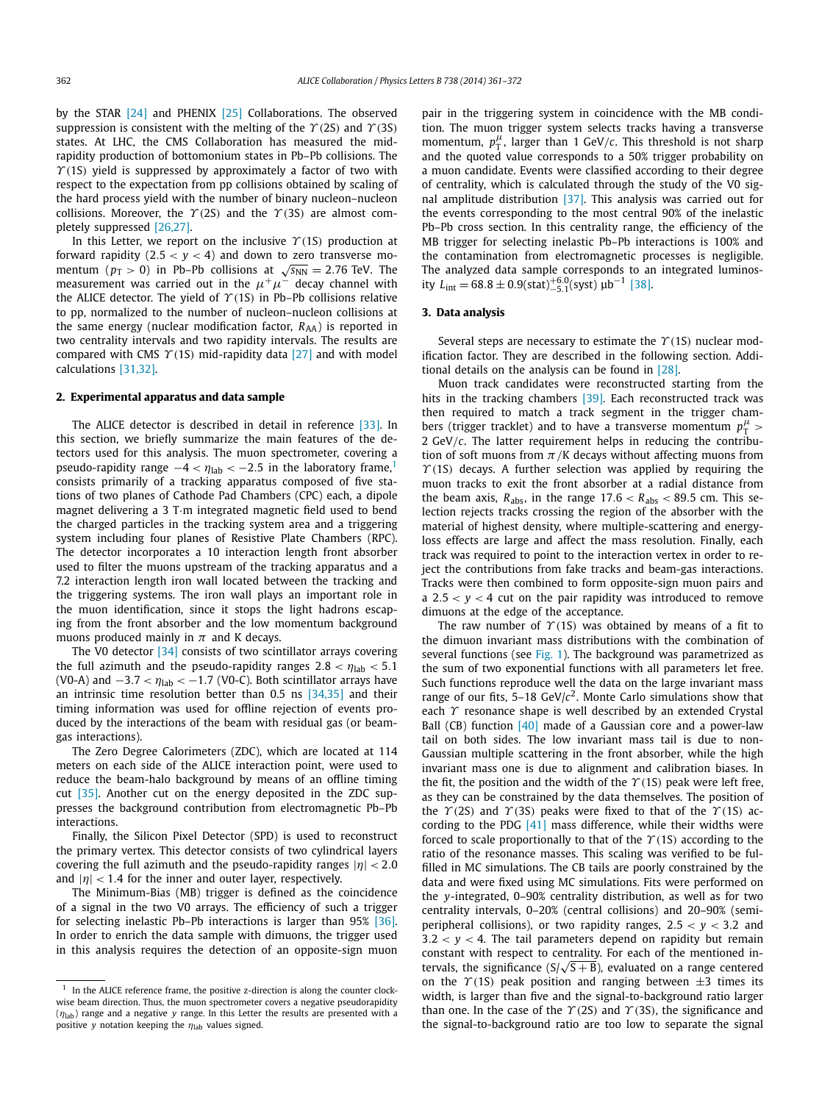by the STAR [\[24\]](#page-6-0) and PHENIX [\[25\]](#page-6-0) Collaborations. The observed suppression is consistent with the melting of the *Υ (*2S*)* and *Υ (*3S*)* states. At LHC, the CMS Collaboration has measured the midrapidity production of bottomonium states in Pb–Pb collisions. The *Υ (*1S*)* yield is suppressed by approximately a factor of two with respect to the expectation from pp collisions obtained by scaling of the hard process yield with the number of binary nucleon–nucleon collisions. Moreover, the *Υ (*2S*)* and the *Υ (*3S*)* are almost completely suppressed [\[26,27\].](#page-6-0)

In this Letter, we report on the inclusive *Υ (*1S*)* production at forward rapidity  $(2.5 < y < 4)$  and down to zero transverse momentum ( $p_T > 0$ ) in Pb–Pb collisions at  $\sqrt{s_{NN}} = 2.76$  TeV. The measurement was carried out in the  $\mu^+\mu^-$  decay channel with the ALICE detector. The yield of *Υ (*1S*)* in Pb–Pb collisions relative to pp, normalized to the number of nucleon–nucleon collisions at the same energy (nuclear modification factor,  $R_{AA}$ ) is reported in two centrality intervals and two rapidity intervals. The results are compared with CMS *Υ (*1S*)* mid-rapidity data [\[27\]](#page-6-0) and with model calculations [\[31,32\].](#page-6-0)

#### **2. Experimental apparatus and data sample**

The ALICE detector is described in detail in reference [\[33\].](#page-6-0) In this section, we briefly summarize the main features of the detectors used for this analysis. The muon spectrometer, covering a pseudo-rapidity range  $-4 < \eta_{\text{lab}} < -2.5$  in the laboratory frame,<sup>1</sup> consists primarily of a tracking apparatus composed of five stations of two planes of Cathode Pad Chambers (CPC) each, a dipole magnet delivering a 3 T·m integrated magnetic field used to bend the charged particles in the tracking system area and a triggering system including four planes of Resistive Plate Chambers (RPC). The detector incorporates a 10 interaction length front absorber used to filter the muons upstream of the tracking apparatus and a 7.2 interaction length iron wall located between the tracking and the triggering systems. The iron wall plays an important role in the muon identification, since it stops the light hadrons escaping from the front absorber and the low momentum background muons produced mainly in  $\pi$  and K decays.

The V0 detector [\[34\]](#page-6-0) consists of two scintillator arrays covering the full azimuth and the pseudo-rapidity ranges  $2.8 < \eta_{\text{lab}} < 5.1$ (V0-A) and −3*.*<sup>7</sup> *< η*lab *<* −1*.*7 (V0-C). Both scintillator arrays have an intrinsic time resolution better than 0.5 ns [\[34,35\]](#page-6-0) and their timing information was used for offline rejection of events produced by the interactions of the beam with residual gas (or beamgas interactions).

The Zero Degree Calorimeters (ZDC), which are located at 114 meters on each side of the ALICE interaction point, were used to reduce the beam-halo background by means of an offline timing cut [\[35\].](#page-6-0) Another cut on the energy deposited in the ZDC suppresses the background contribution from electromagnetic Pb–Pb interactions.

Finally, the Silicon Pixel Detector (SPD) is used to reconstruct the primary vertex. This detector consists of two cylindrical layers covering the full azimuth and the pseudo-rapidity ranges |*η*| *<* <sup>2</sup>*.*<sup>0</sup> and  $|\eta|$  < 1.4 for the inner and outer layer, respectively.

The Minimum-Bias (MB) trigger is defined as the coincidence of a signal in the two V0 arrays. The efficiency of such a trigger for selecting inelastic Pb–Pb interactions is larger than 95% [\[36\].](#page-6-0) In order to enrich the data sample with dimuons, the trigger used in this analysis requires the detection of an opposite-sign muon pair in the triggering system in coincidence with the MB condition. The muon trigger system selects tracks having a transverse momentum,  $p_T^{\mu}$ , larger than 1 GeV/*c*. This threshold is not sharp and the quoted value corresponds to a 50% trigger probability on a muon candidate. Events were classified according to their degree of centrality, which is calculated through the study of the V0 signal amplitude distribution [\[37\].](#page-6-0) This analysis was carried out for the events corresponding to the most central 90% of the inelastic Pb–Pb cross section. In this centrality range, the efficiency of the MB trigger for selecting inelastic Pb–Pb interactions is 100% and the contamination from electromagnetic processes is negligible. The analyzed data sample corresponds to an integrated luminos-<br>ity *L*<sub>int</sub> = 68.8 ± 0.9(stat)<sup>+6.0</sup>(syst) μb<sup>−1</sup> [\[38\].](#page-6-0)

#### **3. Data analysis**

Several steps are necessary to estimate the *Υ (*1S*)* nuclear modification factor. They are described in the following section. Additional details on the analysis can be found in [\[28\].](#page-6-0)

Muon track candidates were reconstructed starting from the hits in the tracking chambers  $[39]$ . Each reconstructed track was then required to match a track segment in the trigger chambers (trigger tracklet) and to have a transverse momentum  $p_T^{\mu}$ 2 GeV*/c*. The latter requirement helps in reducing the contribution of soft muons from  $\pi$ /K decays without affecting muons from *Υ (*1S*)* decays. A further selection was applied by requiring the muon tracks to exit the front absorber at a radial distance from the beam axis,  $R_{\text{abs}}$ , in the range  $17.6 < R_{\text{abs}} < 89.5$  cm. This selection rejects tracks crossing the region of the absorber with the material of highest density, where multiple-scattering and energyloss effects are large and affect the mass resolution. Finally, each track was required to point to the interaction vertex in order to reject the contributions from fake tracks and beam-gas interactions. Tracks were then combined to form opposite-sign muon pairs and a  $2.5 < y < 4$  cut on the pair rapidity was introduced to remove dimuons at the edge of the acceptance.

The raw number of *Υ (*1S*)* was obtained by means of a fit to the dimuon invariant mass distributions with the combination of several functions (see [Fig. 1\)](#page-2-0). The background was parametrized as the sum of two exponential functions with all parameters let free. Such functions reproduce well the data on the large invariant mass range of our fits, 5–18 GeV/ $c^2$ . Monte Carlo simulations show that each *Υ* resonance shape is well described by an extended Crystal Ball (CB) function  $[40]$  made of a Gaussian core and a power-law tail on both sides. The low invariant mass tail is due to non-Gaussian multiple scattering in the front absorber, while the high invariant mass one is due to alignment and calibration biases. In the fit, the position and the width of the *Υ (*1S*)* peak were left free, as they can be constrained by the data themselves. The position of the *Υ (*2S*)* and *Υ (*3S*)* peaks were fixed to that of the *Υ (*1S*)* according to the PDG  $[41]$  mass difference, while their widths were forced to scale proportionally to that of the *Υ (*1S*)* according to the ratio of the resonance masses. This scaling was verified to be fulfilled in MC simulations. The CB tails are poorly constrained by the data and were fixed using MC simulations. Fits were performed on the *y*-integrated, 0–90% centrality distribution, as well as for two centrality intervals, 0–20% (central collisions) and 20–90% (semiperipheral collisions), or two rapidity ranges,  $2.5 < y < 3.2$  and  $3.2 < y < 4$ . The tail parameters depend on rapidity but remain constant with respect to centrality. For each of the mentioned intervals, the significance (S/ $\sqrt{S+B}$ ), evaluated on a range centered on the  $\gamma$ (1S) peak position and ranging between  $\pm$ 3 times its width, is larger than five and the signal-to-background ratio larger than one. In the case of the *Υ (*2S*)* and *Υ (*3S*)*, the significance and the signal-to-background ratio are too low to separate the signal

 $1$  In the ALICE reference frame, the positive z-direction is along the counter clockwise beam direction. Thus, the muon spectrometer covers a negative pseudorapidity (*η*lab) range and a negative *y* range. In this Letter the results are presented with a positive *y* notation keeping the *η*lab values signed.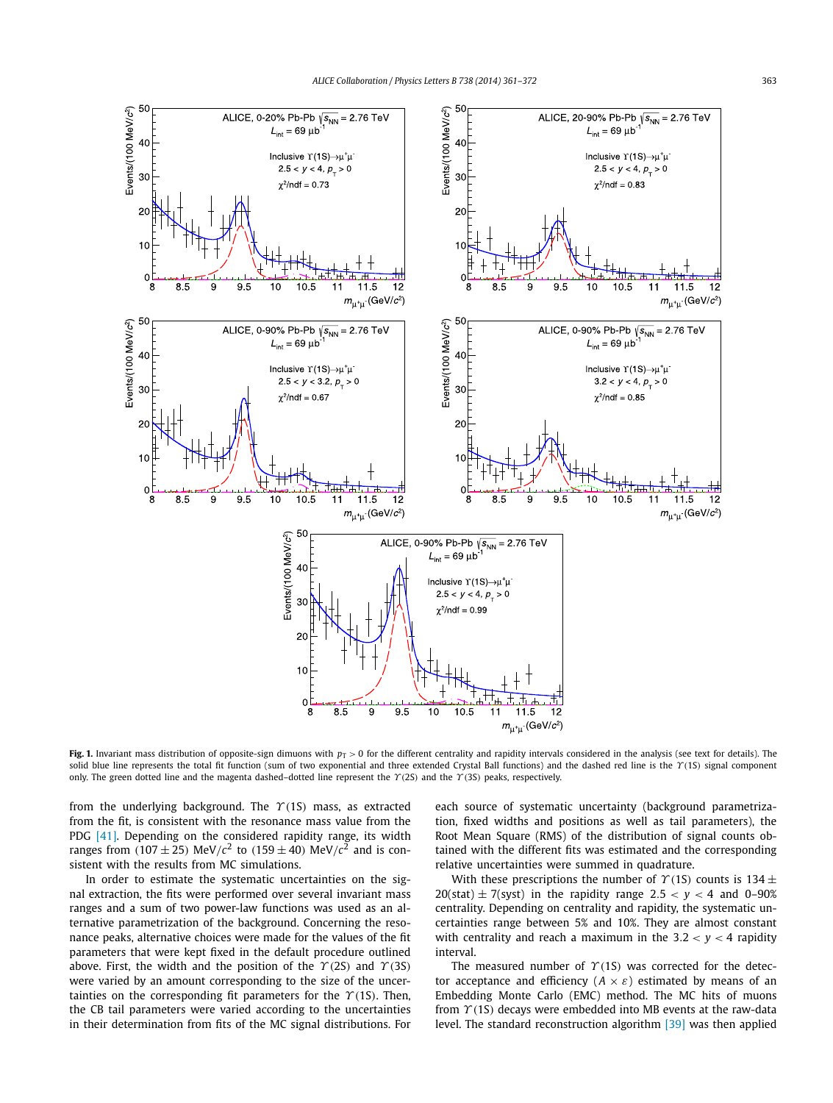<span id="page-2-0"></span>

**Fig. 1.** Invariant mass distribution of opposite-sign dimuons with  $p_T > 0$  for the different centrality and rapidity intervals considered in the analysis (see text for details). The solid blue line represents the total fit function (sum of two exponential and three extended Crystal Ball functions) and the dashed red line is the *Υ(*1S*)* signal component only. The green dotted line and the magenta dashed–dotted line represent the *Υ(*2S*)* and the *Υ (*3S*)* peaks, respectively.

from the underlying background. The *Υ (*1S*)* mass, as extracted from the fit, is consistent with the resonance mass value from the PDG [\[41\].](#page-6-0) Depending on the considered rapidity range, its width ranges from (107  $\pm$  25) MeV/ $c^2$  to (159  $\pm$  40) MeV/ $c^2$  and is consistent with the results from MC simulations.

In order to estimate the systematic uncertainties on the signal extraction, the fits were performed over several invariant mass ranges and a sum of two power-law functions was used as an alternative parametrization of the background. Concerning the resonance peaks, alternative choices were made for the values of the fit parameters that were kept fixed in the default procedure outlined above. First, the width and the position of the *Υ (*2S*)* and *Υ (*3S*)* were varied by an amount corresponding to the size of the uncertainties on the corresponding fit parameters for the *Υ (*1S*)*. Then, the CB tail parameters were varied according to the uncertainties in their determination from fits of the MC signal distributions. For each source of systematic uncertainty (background parametrization, fixed widths and positions as well as tail parameters), the Root Mean Square (RMS) of the distribution of signal counts obtained with the different fits was estimated and the corresponding relative uncertainties were summed in quadrature.

With these prescriptions the number of *Υ (*1S*)* counts is 134 ± 20(stat)  $\pm$  7(syst) in the rapidity range 2.5  $\lt$  y  $\lt$  4 and 0-90% centrality. Depending on centrality and rapidity, the systematic uncertainties range between 5% and 10%. They are almost constant with centrality and reach a maximum in the  $3.2 < y < 4$  rapidity interval.

The measured number of *Υ (*1S*)* was corrected for the detector acceptance and efficiency  $(A \times \varepsilon)$  estimated by means of an Embedding Monte Carlo (EMC) method. The MC hits of muons from *Υ (*1S*)* decays were embedded into MB events at the raw-data level. The standard reconstruction algorithm [\[39\]](#page-6-0) was then applied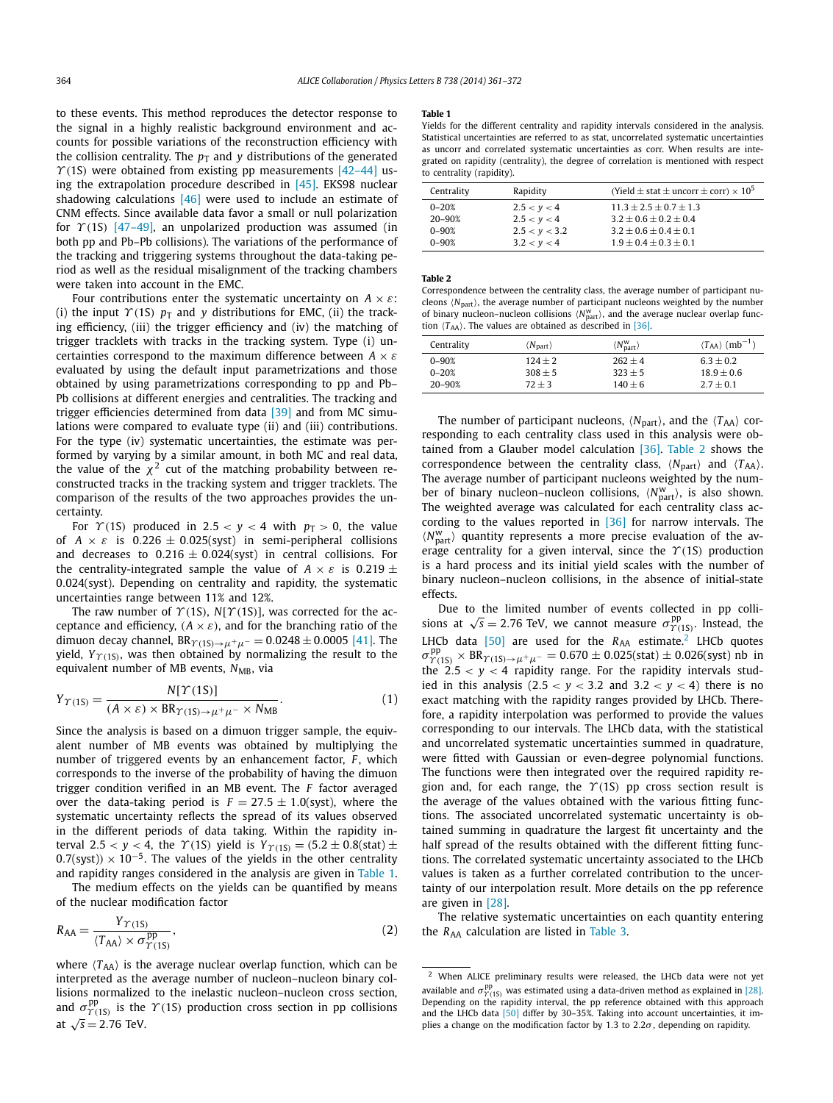to these events. This method reproduces the detector response to the signal in a highly realistic background environment and accounts for possible variations of the reconstruction efficiency with the collision centrality. The  $p_T$  and *y* distributions of the generated *Υ (*1S*)* were obtained from existing pp measurements [\[42–44\]](#page-6-0) using the extrapolation procedure described in [\[45\].](#page-6-0) EKS98 nuclear shadowing calculations [\[46\]](#page-6-0) were used to include an estimate of CNM effects. Since available data favor a small or null polarization for *Υ (*1S*)* [\[47–49\],](#page-6-0) an unpolarized production was assumed (in both pp and Pb–Pb collisions). The variations of the performance of the tracking and triggering systems throughout the data-taking period as well as the residual misalignment of the tracking chambers were taken into account in the EMC.

Four contributions enter the systematic uncertainty on  $A \times \varepsilon$ : (i) the input  $\Upsilon$  (1S)  $p_T$  and *y* distributions for EMC, (ii) the tracking efficiency, (iii) the trigger efficiency and (iv) the matching of trigger tracklets with tracks in the tracking system. Type (i) uncertainties correspond to the maximum difference between *<sup>A</sup>* × *ε* evaluated by using the default input parametrizations and those obtained by using parametrizations corresponding to pp and Pb– Pb collisions at different energies and centralities. The tracking and trigger efficiencies determined from data [\[39\]](#page-6-0) and from MC simulations were compared to evaluate type (ii) and (iii) contributions. For the type (iv) systematic uncertainties, the estimate was performed by varying by a similar amount, in both MC and real data, the value of the  $\chi^2$  cut of the matching probability between reconstructed tracks in the tracking system and trigger tracklets. The comparison of the results of the two approaches provides the uncertainty.

For  $\Upsilon$  (1S) produced in 2.5  $\lt y \lt 4$  with  $p_T > 0$ , the value of  $A \times \varepsilon$  is  $0.226 \pm 0.025$ (syst) in semi-peripheral collisions and decreases to  $0.216 \pm 0.024$  (syst) in central collisions. For the centrality-integrated sample the value of  $A \times \varepsilon$  is 0.219  $\pm$ 0*.*024(syst). Depending on centrality and rapidity, the systematic uncertainties range between 11% and 12%.

The raw number of *Υ (*1S*)*, *N*[*Υ (*1S*)*], was corrected for the acceptance and efficiency,  $(A \times \varepsilon)$ , and for the branching ratio of the dimuon decay channel,  $BR_{\gamma(1S)\to\mu^+\mu^-} = 0.0248 \pm 0.0005$  [\[41\].](#page-6-0) The yield,  $Y_{\Upsilon(1S)}$ , was then obtained by normalizing the result to the equivalent number of MB events, N<sub>MB</sub>, via

$$
Y_{\Upsilon(1S)} = \frac{N[\Upsilon(1S)]}{(A \times \varepsilon) \times BR_{\Upsilon(1S) \to \mu^+ \mu^-} \times N_{MB}}.
$$
 (1)

Since the analysis is based on a dimuon trigger sample, the equivalent number of MB events was obtained by multiplying the number of triggered events by an enhancement factor, *F*, which corresponds to the inverse of the probability of having the dimuon trigger condition verified in an MB event. The *F* factor averaged over the data-taking period is  $F = 27.5 \pm 1.0$  (syst), where the systematic uncertainty reflects the spread of its values observed in the different periods of data taking. Within the rapidity interval 2.5 *< y <* 4, the  $\Upsilon$  (1S) yield is  $Y_{\Upsilon(1S)} = (5.2 \pm 0.8 \text{ (stat)} \pm 0.01)$  $(0.7(syst)) \times 10^{-5}$ . The values of the yields in the other centrality and rapidity ranges considered in the analysis are given in Table 1.

The medium effects on the yields can be quantified by means of the nuclear modification factor

$$
R_{AA} = \frac{Y_{\Upsilon(1S)}}{\langle T_{AA} \rangle \times \sigma_{\Upsilon(1S)}^{\text{pp}}},\tag{2}
$$

where  $\langle T_{AA} \rangle$  is the average nuclear overlap function, which can be interpreted as the average number of nucleon–nucleon binary collisions normalized to the inelastic nucleon–nucleon cross section, and  $\sigma_{\gamma(1S)}^{\text{pp}}$  is the  $\gamma(1S)$  production cross section in pp collisions at  $\sqrt{s}$  = 2.76 TeV.

#### **Table 1**

Yields for the different centrality and rapidity intervals considered in the analysis. Statistical uncertainties are referred to as stat, uncorrelated systematic uncertainties as uncorr and correlated systematic uncertainties as corr. When results are integrated on rapidity (centrality), the degree of correlation is mentioned with respect to centrality (rapidity).

| Centrality | Rapidity      | (Yield $\pm$ stat $\pm$ uncorr $\pm$ corr) $\times$ 10 <sup>5</sup> |
|------------|---------------|---------------------------------------------------------------------|
| $0 - 20%$  | 2.5 < y < 4   | $11.3 + 2.5 + 0.7 + 1.3$                                            |
| 20-90%     | 2.5 < y < 4   | $3.2 + 0.6 + 0.2 + 0.4$                                             |
| $0 - 90%$  | 2.5 < y < 3.2 | $3.2 + 0.6 + 0.4 + 0.1$                                             |
| $0 - 90%$  | 3.2 < v < 4   | $1.9 + 0.4 + 0.3 + 0.1$                                             |

#### **Table 2**

Correspondence between the centrality class, the average number of participant nucleons  $\langle N_{\text{part}}\rangle$ , the average number of participant nucleons weighted by the number of binary nucleon-nucleon collisions  $\langle N_{\text{part}}^{\text{w}} \rangle$ , and the average nuclear overlap function  $\langle T_{AA} \rangle$ . The values are obtained as described in [\[36\].](#page-6-0)

| Centrality             | $\langle N_{\rm{part}} \rangle$ | $\langle N^{\rm W}_{\rm{part}} \rangle$ | $\langle T_{AA} \rangle$ (mb <sup>-1</sup> ) |
|------------------------|---------------------------------|-----------------------------------------|----------------------------------------------|
| $0 - 90%$<br>$0 - 20%$ | $124 + 2$<br>$308 + 5$          | $262 + 4$<br>$323 + 5$                  | $6.3 + 0.2$<br>$18.9 + 0.6$                  |
| 20-90%                 | $72 + 3$                        | $140 + 6$                               | $2.7 + 0.1$                                  |

The number of participant nucleons,  $\langle N_{\text{part}} \rangle$ , and the  $\langle T_{AA} \rangle$  corresponding to each centrality class used in this analysis were obtained from a Glauber model calculation [\[36\].](#page-6-0) Table 2 shows the correspondence between the centrality class,  $\langle N_{\text{part}} \rangle$  and  $\langle T_{\text{AA}} \rangle$ . The average number of participant nucleons weighted by the number of binary nucleon-nucleon collisions,  $\langle N_{\text{part}}^{\text{w}} \rangle$ , is also shown. The weighted average was calculated for each centrality class according to the values reported in  $[36]$  for narrow intervals. The  $\langle N_{\text{part}}^{\text{w}} \rangle$  quantity represents a more precise evaluation of the average centrality for a given interval, since the *Υ (*1S*)* production is a hard process and its initial yield scales with the number of binary nucleon–nucleon collisions, in the absence of initial-state effects.

Due to the limited number of events collected in pp collisions at  $\sqrt{s}$  = 2.76 TeV, we cannot measure  $\sigma_{\gamma(1S)}^{\text{pp}}$ . Instead, the LHCb data [\[50\]](#page-6-0) are used for the  $R_{AA}$  estimate.<sup>2</sup> LHCb quotes  $\sigma_{\gamma(1S)}^{\text{pp}} \times \text{BR}_{\gamma(1S) \to \mu^+ \mu^-} = 0.670 \pm 0.025 \text{(stat)} \pm 0.026 \text{(syst)}$  nb in the  $2.5 < y < 4$  rapidity range. For the rapidity intervals studied in this analysis  $(2.5 < y < 3.2$  and  $3.2 < y < 4)$  there is no exact matching with the rapidity ranges provided by LHCb. Therefore, a rapidity interpolation was performed to provide the values corresponding to our intervals. The LHCb data, with the statistical and uncorrelated systematic uncertainties summed in quadrature, were fitted with Gaussian or even-degree polynomial functions. The functions were then integrated over the required rapidity region and, for each range, the *Υ (*1S*)* pp cross section result is the average of the values obtained with the various fitting functions. The associated uncorrelated systematic uncertainty is obtained summing in quadrature the largest fit uncertainty and the half spread of the results obtained with the different fitting functions. The correlated systematic uncertainty associated to the LHCb values is taken as a further correlated contribution to the uncertainty of our interpolation result. More details on the pp reference are given in [\[28\].](#page-6-0)

The relative systematic uncertainties on each quantity entering the  $R_{AA}$  calculation are listed in [Table 3.](#page-4-0)

<sup>2</sup> When ALICE preliminary results were released, the LHCb data were not yet available and  $\sigma_{T(1S)}^{\text{pp}}$  was estimated using a data-driven method as explained in [\[28\].](#page-6-0)<br>Depending on the rapidity interval, the pp reference obtained with this approach and the LHCb data [\[50\]](#page-6-0) differ by 30–35%. Taking into account uncertainties, it implies a change on the modification factor by 1.3 to 2.2 $\sigma$ , depending on rapidity.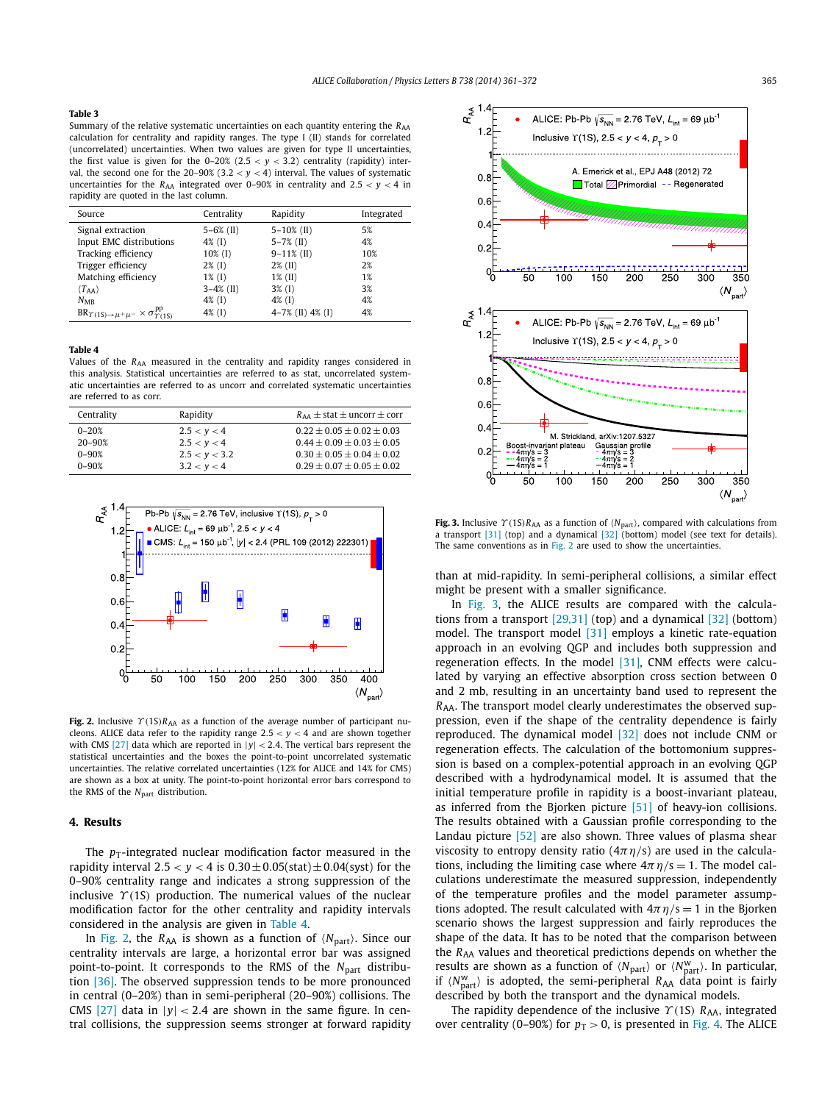#### <span id="page-4-0"></span>**Table 3**

Summary of the relative systematic uncertainties on each quantity entering the *R*<sub>AA</sub> calculation for centrality and rapidity ranges. The type I (II) stands for correlated (uncorrelated) uncertainties. When two values are given for type II uncertainties, the first value is given for the  $0-20\%$  ( $2.5 < y < 3.2$ ) centrality (rapidity) interval, the second one for the  $20-90\%$  ( $3.2 < y < 4$ ) interval. The values of systematic uncertainties for the  $R_{AA}$  integrated over 0–90% in centrality and 2.5  $< y < 4$  in rapidity are quoted in the last column.

| Source                                                           | Centrality   | Rapidity               | Integrated |
|------------------------------------------------------------------|--------------|------------------------|------------|
| Signal extraction                                                | $5-6\%$ (II) | $5-10\%$ (II)          | 5%         |
| Input EMC distributions                                          | 4% (I)       | $5-7\%$ (II)           | 4%         |
| Tracking efficiency                                              | $10\%$ (I)   | $9-11\%$ (II)          | 10%        |
| Trigger efficiency                                               | $2\%$ (I)    | $2\%$ (II)             | 2%         |
| Matching efficiency                                              | $1\%$ (I)    | $1\%$ (II)             | 1%         |
| $\langle T_{AA} \rangle$                                         | $3-4\%$ (II) | $3\%$ (I)              | 3%         |
| $N_{MB}$                                                         | 4% (I)       | $4\%$ (I)              | 4%         |
| $BR_{\Upsilon(1S)\to\mu^+\mu^-}\times\sigma_{\Upsilon(1S)}^{pp}$ | 4% (I)       | $4-7\%$ (II) $4\%$ (I) | 4%         |

#### **Table 4**

Values of the *R*AA measured in the centrality and rapidity ranges considered in this analysis. Statistical uncertainties are referred to as stat, uncorrelated systematic uncertainties are referred to as uncorr and correlated systematic uncertainties are referred to as corr.

| Centrality | Rapidity      | $R_{AA} \pm$ stat $\pm$ uncorr $\pm$ corr |
|------------|---------------|-------------------------------------------|
| $0 - 20%$  | 2.5 < v < 4   | $0.22 + 0.05 + 0.02 + 0.03$               |
| 20-90%     | 2.5 < v < 4   | $0.44 + 0.09 + 0.03 + 0.05$               |
| $0 - 90%$  | 2.5 < y < 3.2 | $0.30 + 0.05 + 0.04 + 0.02$               |
| $0 - 90%$  | 3.2 < v < 4   | $0.29 + 0.07 + 0.05 + 0.02$               |



**Fig. 2.** Inclusive *Υ (*1S*)R*AA as a function of the average number of participant nucleons. ALICE data refer to the rapidity range  $2.5 < y < 4$  and are shown together with CMS [\[27\]](#page-6-0) data which are reported in |*y*| *<* 2*.*4. The vertical bars represent the statistical uncertainties and the boxes the point-to-point uncorrelated systematic uncertainties. The relative correlated uncertainties (12% for ALICE and 14% for CMS) are shown as a box at unity. The point-to-point horizontal error bars correspond to the RMS of the *N*part distribution.

### **4. Results**

The  $p_T$ -integrated nuclear modification factor measured in the rapidity interval  $2.5 < y < 4$  is  $0.30 \pm 0.05$ (stat) $\pm 0.04$ (syst) for the 0–90% centrality range and indicates a strong suppression of the inclusive *Υ (*1S*)* production. The numerical values of the nuclear modification factor for the other centrality and rapidity intervals considered in the analysis are given in Table 4.

In Fig. 2, the  $R_{AA}$  is shown as a function of  $\langle N_{part} \rangle$ . Since our centrality intervals are large, a horizontal error bar was assigned point-to-point. It corresponds to the RMS of the *N*part distribution [\[36\].](#page-6-0) The observed suppression tends to be more pronounced in central (0–20%) than in semi-peripheral (20–90%) collisions. The CMS [\[27\]](#page-6-0) data in  $|y| < 2.4$  are shown in the same figure. In central collisions, the suppression seems stronger at forward rapidity



**Fig. 3.** Inclusive  $\Upsilon$  (1S)  $R_{AA}$  as a function of  $\langle N_{part} \rangle$ , compared with calculations from a transport [\[31\]](#page-6-0) (top) and a dynamical [\[32\]](#page-6-0) (bottom) model (see text for details). The same conventions as in Fig. 2 are used to show the uncertainties.

than at mid-rapidity. In semi-peripheral collisions, a similar effect might be present with a smaller significance.

In Fig. 3, the ALICE results are compared with the calculations from a transport [\[29,31\]](#page-6-0) (top) and a dynamical [\[32\]](#page-6-0) (bottom) model. The transport model [\[31\]](#page-6-0) employs a kinetic rate-equation approach in an evolving QGP and includes both suppression and regeneration effects. In the model [\[31\],](#page-6-0) CNM effects were calculated by varying an effective absorption cross section between 0 and 2 mb, resulting in an uncertainty band used to represent the *R*<sub>AA</sub>. The transport model clearly underestimates the observed suppression, even if the shape of the centrality dependence is fairly reproduced. The dynamical model [\[32\]](#page-6-0) does not include CNM or regeneration effects. The calculation of the bottomonium suppression is based on a complex-potential approach in an evolving QGP described with a hydrodynamical model. It is assumed that the initial temperature profile in rapidity is a boost-invariant plateau, as inferred from the Bjorken picture [\[51\]](#page-6-0) of heavy-ion collisions. The results obtained with a Gaussian profile corresponding to the Landau picture [\[52\]](#page-6-0) are also shown. Three values of plasma shear viscosity to entropy density ratio (4*πη/*s) are used in the calculations, including the limiting case where  $4\pi \eta/s = 1$ . The model calculations underestimate the measured suppression, independently of the temperature profiles and the model parameter assumptions adopted. The result calculated with  $4\pi \eta/s = 1$  in the Bjorken scenario shows the largest suppression and fairly reproduces the shape of the data. It has to be noted that the comparison between the *R<sub>AA</sub>* values and theoretical predictions depends on whether the results are shown as a function of  $\langle N_{\text{part}} \rangle$  or  $\langle N_{\text{part}}^{\text{w}} \rangle$ . In particular, if  $\langle N_{\text{part}}^{\text{w}} \rangle$  is adopted, the semi-peripheral  $R_{AA}$  data point is fairly described by both the transport and the dynamical models.

The rapidity dependence of the inclusive  $\Upsilon$  (1S) *R*<sub>AA</sub>, integrated over centrality (0–90%) for  $p_T > 0$ , is presented in [Fig. 4.](#page-5-0) The ALICE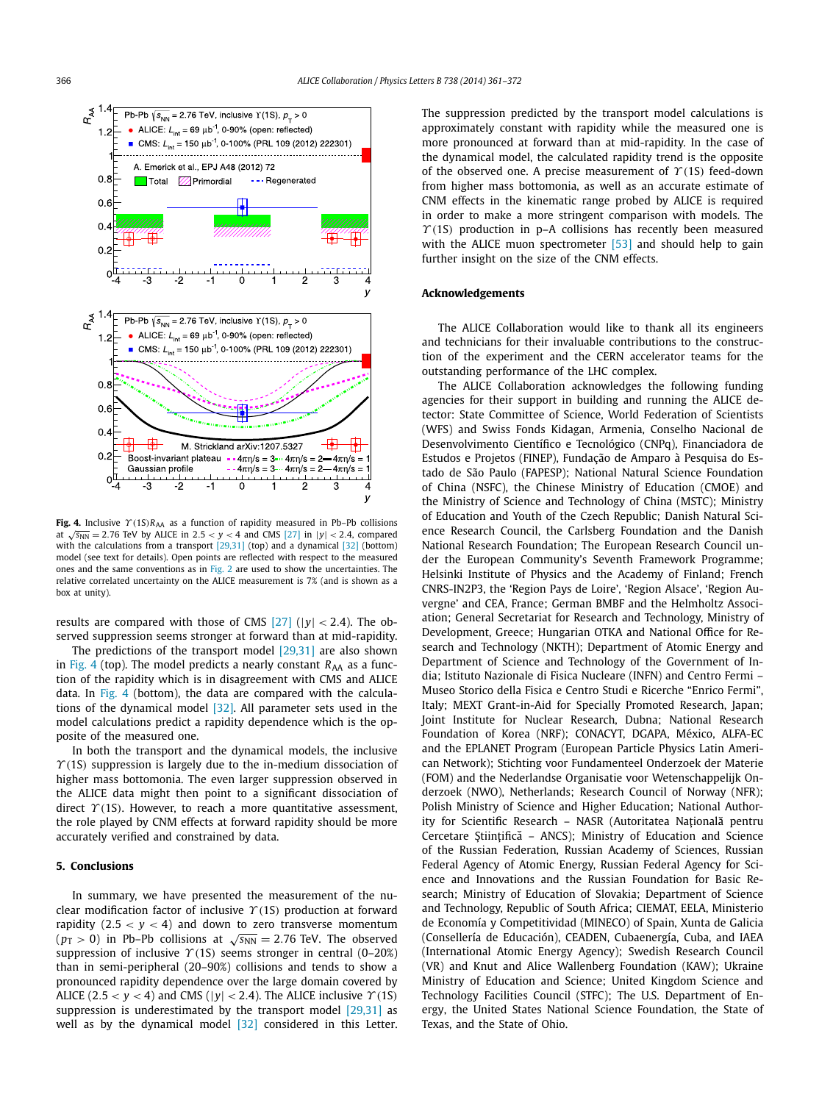<span id="page-5-0"></span>

**Fig. 4.** Inclusive *Υ (*1S*)R*AA as a function of rapidity measured in Pb–Pb collisions at  $\sqrt{s_{NN}}$  = 2.76 TeV by ALICE in 2.5 < *y* < 4 and CMS [\[27\]](#page-6-0) in  $|y|$  < 2.4, compared with the calculations from a transport [\[29,31\]](#page-6-0) (top) and a dynamical [\[32\]](#page-6-0) (bottom) model (see text for details). Open points are reflected with respect to the measured ones and the same conventions as in [Fig. 2](#page-4-0) are used to show the uncertainties. The relative correlated uncertainty on the ALICE measurement is 7% (and is shown as a box at unity).

results are compared with those of CMS [\[27\]](#page-6-0) (|*y*| *<* 2*.*4). The observed suppression seems stronger at forward than at mid-rapidity.

The predictions of the transport model [\[29,31\]](#page-6-0) are also shown in Fig. 4 (top). The model predicts a nearly constant  $R_{AA}$  as a function of the rapidity which is in disagreement with CMS and ALICE data. In Fig. 4 (bottom), the data are compared with the calculations of the dynamical model [\[32\].](#page-6-0) All parameter sets used in the model calculations predict a rapidity dependence which is the opposite of the measured one.

In both the transport and the dynamical models, the inclusive *Υ (*1S*)* suppression is largely due to the in-medium dissociation of higher mass bottomonia. The even larger suppression observed in the ALICE data might then point to a significant dissociation of direct *Υ (*1S*)*. However, to reach a more quantitative assessment, the role played by CNM effects at forward rapidity should be more accurately verified and constrained by data.

#### **5. Conclusions**

In summary, we have presented the measurement of the nuclear modification factor of inclusive *Υ (*1S*)* production at forward rapidity  $(2.5 < y < 4)$  and down to zero transverse momentum  $(p_T > 0)$  in Pb–Pb collisions at  $\sqrt{s_{NN}} = 2.76$  TeV. The observed suppression of inclusive *Υ (*1S*)* seems stronger in central (0–20%) than in semi-peripheral (20–90%) collisions and tends to show a pronounced rapidity dependence over the large domain covered by ALICE (2.5  $< y < 4$ ) and CMS ( $|y| < 2.4$ ). The ALICE inclusive  $\Upsilon(1S)$ suppression is underestimated by the transport model [\[29,31\]](#page-6-0) as well as by the dynamical model [\[32\]](#page-6-0) considered in this Letter. The suppression predicted by the transport model calculations is approximately constant with rapidity while the measured one is more pronounced at forward than at mid-rapidity. In the case of the dynamical model, the calculated rapidity trend is the opposite of the observed one. A precise measurement of *Υ (*1S*)* feed-down from higher mass bottomonia, as well as an accurate estimate of CNM effects in the kinematic range probed by ALICE is required in order to make a more stringent comparison with models. The *Υ (*1S*)* production in p–A collisions has recently been measured with the ALICE muon spectrometer  $[53]$  and should help to gain further insight on the size of the CNM effects.

#### **Acknowledgements**

The ALICE Collaboration would like to thank all its engineers and technicians for their invaluable contributions to the construction of the experiment and the CERN accelerator teams for the outstanding performance of the LHC complex.

The ALICE Collaboration acknowledges the following funding agencies for their support in building and running the ALICE detector: State Committee of Science, World Federation of Scientists (WFS) and Swiss Fonds Kidagan, Armenia, Conselho Nacional de Desenvolvimento Científico e Tecnológico (CNPq), Financiadora de Estudos e Projetos (FINEP), Fundação de Amparo à Pesquisa do Estado de São Paulo (FAPESP); National Natural Science Foundation of China (NSFC), the Chinese Ministry of Education (CMOE) and the Ministry of Science and Technology of China (MSTC); Ministry of Education and Youth of the Czech Republic; Danish Natural Science Research Council, the Carlsberg Foundation and the Danish National Research Foundation; The European Research Council under the European Community's Seventh Framework Programme; Helsinki Institute of Physics and the Academy of Finland; French CNRS-IN2P3, the 'Region Pays de Loire', 'Region Alsace', 'Region Auvergne' and CEA, France; German BMBF and the Helmholtz Association; General Secretariat for Research and Technology, Ministry of Development, Greece; Hungarian OTKA and National Office for Research and Technology (NKTH); Department of Atomic Energy and Department of Science and Technology of the Government of India; Istituto Nazionale di Fisica Nucleare (INFN) and Centro Fermi – Museo Storico della Fisica e Centro Studi e Ricerche "Enrico Fermi", Italy; MEXT Grant-in-Aid for Specially Promoted Research, Japan; Joint Institute for Nuclear Research, Dubna; National Research Foundation of Korea (NRF); CONACYT, DGAPA, México, ALFA-EC and the EPLANET Program (European Particle Physics Latin American Network); Stichting voor Fundamenteel Onderzoek der Materie (FOM) and the Nederlandse Organisatie voor Wetenschappelijk Onderzoek (NWO), Netherlands; Research Council of Norway (NFR); Polish Ministry of Science and Higher Education; National Authority for Scientific Research – NASR (Autoritatea Națională pentru Cercetare Stiintifică – ANCS); Ministry of Education and Science of the Russian Federation, Russian Academy of Sciences, Russian Federal Agency of Atomic Energy, Russian Federal Agency for Science and Innovations and the Russian Foundation for Basic Research; Ministry of Education of Slovakia; Department of Science and Technology, Republic of South Africa; CIEMAT, EELA, Ministerio de Economía y Competitividad (MINECO) of Spain, Xunta de Galicia (Consellería de Educación), CEADEN, Cubaenergía, Cuba, and IAEA (International Atomic Energy Agency); Swedish Research Council (VR) and Knut and Alice Wallenberg Foundation (KAW); Ukraine Ministry of Education and Science; United Kingdom Science and Technology Facilities Council (STFC); The U.S. Department of Energy, the United States National Science Foundation, the State of Texas, and the State of Ohio.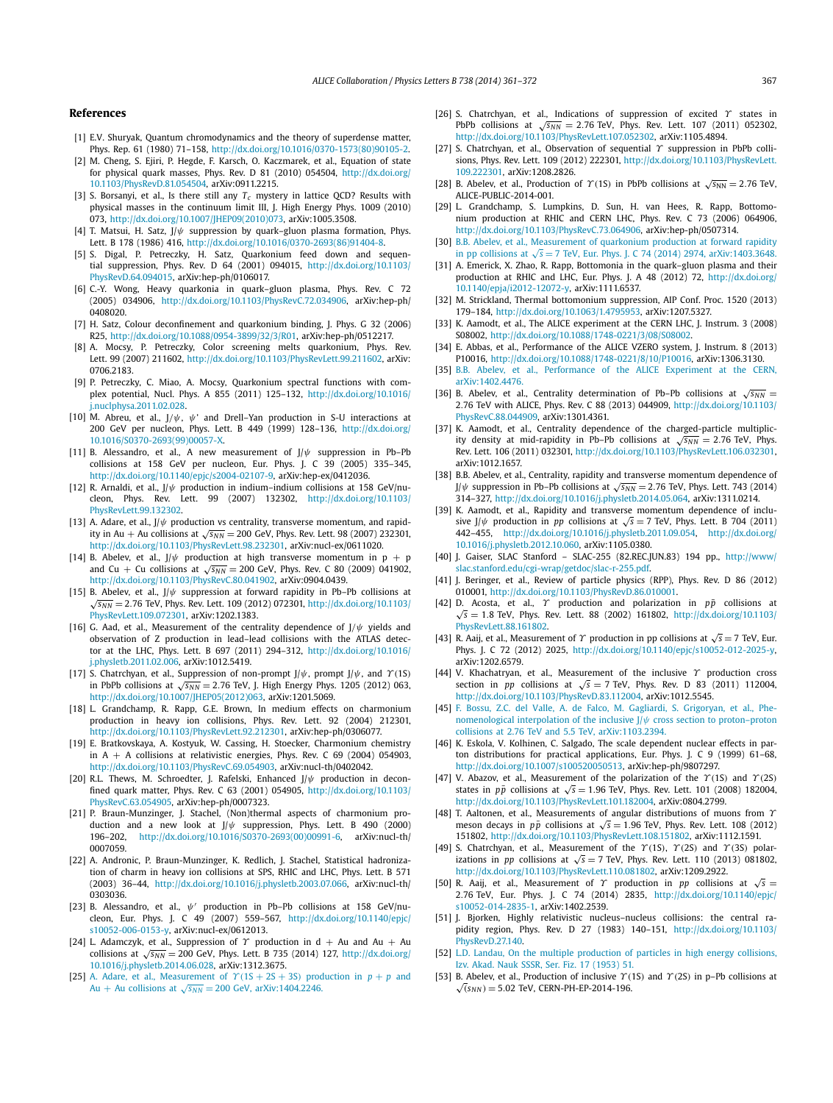#### <span id="page-6-0"></span>**References**

- [1] E.V. Shuryak, Quantum chromodynamics and the theory of superdense matter, Phys. Rep. 61 (1980) 71–158, [http://dx.doi.org/10.1016/0370-1573\(80\)90105-2.](http://dx.doi.org/10.1016/0370-1573(80)90105-2)
- [2] M. Cheng, S. Ejiri, P. Hegde, F. Karsch, O. Kaczmarek, et al., Equation of state for physical quark masses, Phys. Rev. D 81 (2010) 054504, [http://dx.doi.org/](http://dx.doi.org/10.1103/PhysRevD.81.054504) [10.1103/PhysRevD.81.054504](http://dx.doi.org/10.1103/PhysRevD.81.054504), arXiv:0911.2215.
- [3] S. Borsanyi, et al., Is there still any  $T_c$  mystery in lattice QCD? Results with physical masses in the continuum limit III, J. High Energy Phys. 1009 (2010) 073, [http://dx.doi.org/10.1007/JHEP09\(2010\)073,](http://dx.doi.org/10.1007/JHEP09(2010)073) arXiv:1005.3508.
- [4] T. Matsui, H. Satz, J/*ψ* suppression by quark–gluon plasma formation, Phys. Lett. B 178 (1986) 416, [http://dx.doi.org/10.1016/0370-2693\(86\)91404-8](http://dx.doi.org/10.1016/0370-2693(86)91404-8).
- [5] S. Digal, P. Petreczky, H. Satz, Quarkonium feed down and sequential suppression, Phys. Rev. D 64 (2001) 094015, [http://dx.doi.org/10.1103/](http://dx.doi.org/10.1103/PhysRevD.64.094015) [PhysRevD.64.094015](http://dx.doi.org/10.1103/PhysRevD.64.094015), arXiv:hep-ph/0106017.
- [6] C.-Y. Wong, Heavy quarkonia in quark–gluon plasma, Phys. Rev. C 72 (2005) 034906, <http://dx.doi.org/10.1103/PhysRevC.72.034906>, arXiv:hep-ph/ 0408020.
- [7] H. Satz, Colour deconfinement and quarkonium binding, J. Phys. G 32 (2006) R25, <http://dx.doi.org/10.1088/0954-3899/32/3/R01>, arXiv:hep-ph/0512217.
- [8] A. Mocsy, P. Petreczky, Color screening melts quarkonium, Phys. Rev. Lett. 99 (2007) 211602, <http://dx.doi.org/10.1103/PhysRevLett.99.211602>, arXiv: 0706.2183.
- [9] P. Petreczky, C. Miao, A. Mocsy, Quarkonium spectral functions with complex potential, Nucl. Phys. A 855 (2011) 125–132, [http://dx.doi.org/10.1016/](http://dx.doi.org/10.1016/j.nuclphysa.2011.02.028) [j.nuclphysa.2011.02.028](http://dx.doi.org/10.1016/j.nuclphysa.2011.02.028).
- [10] M. Abreu, et al., J*/ψ*, *ψ*' and Drell–Yan production in S-U interactions at 200 GeV per nucleon, Phys. Lett. B 449 (1999) 128–136, [http://dx.doi.org/](http://dx.doi.org/10.1016/S0370-2693(99)00057-X) [10.1016/S0370-2693\(99\)00057-X](http://dx.doi.org/10.1016/S0370-2693(99)00057-X).
- [11] B. Alessandro, et al., A new measurement of J/*ψ* suppression in Pb–Pb collisions at 158 GeV per nucleon, Eur. Phys. J. C 39 (2005) 335–345, <http://dx.doi.org/10.1140/epjc/s2004-02107-9>, arXiv:hep-ex/0412036.
- [12] R. Arnaldi, et al., J/*ψ* production in indium–indium collisions at 158 GeV/nucleon, Phys. Rev. Lett. 99 (2007) 132302, [http://dx.doi.org/10.1103/](http://dx.doi.org/10.1103/PhysRevLett.99.132302) [PhysRevLett.99.132302.](http://dx.doi.org/10.1103/PhysRevLett.99.132302)
- [13] A. Adare, et al., J/*ψ* production vs centrality, transverse momentum, and rapidity in Au + Au collisions at  $\sqrt{s_{NN}}$  = 200 GeV, Phys. Rev. Lett. 98 (2007) 232301, [http://dx.doi.org/10.1103/PhysRevLett.98.232301,](http://dx.doi.org/10.1103/PhysRevLett.98.232301) arXiv:nucl-ex/0611020.
- [14] B. Abelev, et al.,  $J/\psi$  production at high transverse momentum in p + p and Cu + Cu collisions at  $\sqrt{s_{NN}}$  = 200 GeV, Phys. Rev. C 80 (2009) 041902, <http://dx.doi.org/10.1103/PhysRevC.80.041902>, arXiv:0904.0439.<br>[15] B. Abelev, et al., J/ $\psi$  suppression at forward rapidity in Pb-Pb collisions at
- $\sqrt{s_{NN}}$  = 2.76 TeV, Phys. Rev. Lett. 109 (2012) 072301, [http://dx.doi.org/10.1103/](http://dx.doi.org/10.1103/PhysRevLett.109.072301) [PhysRevLett.109.072301](http://dx.doi.org/10.1103/PhysRevLett.109.072301), arXiv:1202.1383.
- [16] G. Aad, et al., Measurement of the centrality dependence of J*/ψ* yields and observation of Z production in lead–lead collisions with the ATLAS detector at the LHC, Phys. Lett. B 697 (2011) 294–312, [http://dx.doi.org/10.1016/](http://dx.doi.org/10.1016/j.physletb.2011.02.006) [j.physletb.2011.02.006,](http://dx.doi.org/10.1016/j.physletb.2011.02.006) arXiv:1012.5419.
- [17] S. Chatrchyan, et al., Suppression of non-prompt J/*ψ*, prompt J/*ψ*, and *Υ (*1S*)* in PbPb collisions at  $\sqrt{s_{NN}}$  = 2.76 TeV, J. High Energy Phys. 1205 (2012) 063, [http://dx.doi.org/10.1007/JHEP05\(2012\)063,](http://dx.doi.org/10.1007/JHEP05(2012)063) arXiv:1201.5069.
- [18] L. Grandchamp, R. Rapp, G.E. Brown, In medium effects on charmonium production in heavy ion collisions, Phys. Rev. Lett. 92 (2004) 212301, [http://dx.doi.org/10.1103/PhysRevLett.92.212301,](http://dx.doi.org/10.1103/PhysRevLett.92.212301) arXiv:hep-ph/0306077.
- [19] E. Bratkovskaya, A. Kostyuk, W. Cassing, H. Stoecker, Charmonium chemistry in  $A + A$  collisions at relativistic energies, Phys. Rev. C 69 (2004) 054903, <http://dx.doi.org/10.1103/PhysRevC.69.054903>, arXiv:nucl-th/0402042.
- [20] R.L. Thews, M. Schroedter, J. Rafelski, Enhanced J/*ψ* production in deconfined quark matter, Phys. Rev. C 63 (2001) 054905, [http://dx.doi.org/10.1103/](http://dx.doi.org/10.1103/PhysRevC.63.054905) [PhysRevC.63.054905,](http://dx.doi.org/10.1103/PhysRevC.63.054905) arXiv:hep-ph/0007323.
- [21] P. Braun-Munzinger, J. Stachel, (Non)thermal aspects of charmonium production and a new look at J/*ψ* suppression, Phys. Lett. B 490 (2000) 196–202, [http://dx.doi.org/10.1016/S0370-2693\(00\)00991-6,](http://dx.doi.org/10.1016/S0370-2693(00)00991-6) arXiv:nucl-th/ 0007059.
- [22] A. Andronic, P. Braun-Munzinger, K. Redlich, J. Stachel, Statistical hadronization of charm in heavy ion collisions at SPS, RHIC and LHC, Phys. Lett. B 571 (2003) 36–44, <http://dx.doi.org/10.1016/j.physletb.2003.07.066>, arXiv:nucl-th/ 0303036.
- [23] B. Alessandro, et al.,  $ψ'$  production in Pb-Pb collisions at 158 GeV/nucleon, Eur. Phys. J. C 49 (2007) 559–567, [http://dx.doi.org/10.1140/epjc/](http://dx.doi.org/10.1140/epjc/s10052-006-0153-y) [s10052-006-0153-y,](http://dx.doi.org/10.1140/epjc/s10052-006-0153-y) arXiv:nucl-ex/0612013.
- [24] L. Adamczyk, et al., Suppression of *Υ* production in d + Au and Au + Au collisions at  $\sqrt{s_{NN}}$  = 200 GeV, Phys. Lett. B 735 (2014) 127, [http://dx.doi.org/](http://dx.doi.org/10.1016/j.physletb.2014.06.028) [10.1016/j.physletb.2014.06.028,](http://dx.doi.org/10.1016/j.physletb.2014.06.028) arXiv:1312.3675.
- [25] A. Adare, et al., [Measurement](http://refhub.elsevier.com/S0370-2693(14)00724-2/bib5048454E4958557073s1) of  $\Upsilon(1S + 2S + 3S)$  production in  $p + p$  and Au + Au collisions at  $\sqrt{s_{NN}}$  = 200 GeV, [arXiv:1404.2246.](http://refhub.elsevier.com/S0370-2693(14)00724-2/bib5048454E4958557073s1)
- [26] S. Chatrchyan, et al., Indications of suppression of excited *Υ* states in PbPb collisions at  $\sqrt{s_{NN}} = 2.76$  TeV, Phys. Rev. Lett. 107 (2011) 052302, <http://dx.doi.org/10.1103/PhysRevLett.107.052302>, arXiv:1105.4894.
- [27] S. Chatrchyan, et al., Observation of sequential *Υ* suppression in PbPb collisions, Phys. Rev. Lett. 109 (2012) 222301, [http://dx.doi.org/10.1103/PhysRevLett.](http://dx.doi.org/10.1103/PhysRevLett.109.222301) [109.222301](http://dx.doi.org/10.1103/PhysRevLett.109.222301), arXiv:1208.2826.
- [28] B. Abelev, et al., Production of  $\Upsilon(1S)$  in PbPb collisions at  $\sqrt{s_{NN}} = 2.76$  TeV, ALICE-PUBLIC-2014-001.
- [29] L. Grandchamp, S. Lumpkins, D. Sun, H. van Hees, R. Rapp, Bottomonium production at RHIC and CERN LHC, Phys. Rev. C 73 (2006) 064906, <http://dx.doi.org/10.1103/PhysRevC.73.064906>, arXiv:hep-ph/0507314.
- [30] B.B. Abelev, et al., [Measurement](http://refhub.elsevier.com/S0370-2693(14)00724-2/bib517561726B6F7070414C494345s1) of quarkonium production at forward rapidity in pp collisions at  $\sqrt{s}$  = 7 TeV, Eur. Phys. J. C 74 (2014) 2974, [arXiv:1403.3648.](http://refhub.elsevier.com/S0370-2693(14)00724-2/bib517561726B6F7070414C494345s1)
- [31] A. Emerick, X. Zhao, R. Rapp, Bottomonia in the quark–gluon plasma and their production at RHIC and LHC, Eur. Phys. J. A 48 (2012) 72, [http://dx.doi.org/](http://dx.doi.org/10.1140/epja/i2012-12072-y) [10.1140/epja/i2012-12072-y](http://dx.doi.org/10.1140/epja/i2012-12072-y), arXiv:1111.6537.
- [32] M. Strickland, Thermal bottomonium suppression, AIP Conf. Proc. 1520 (2013) 179–184, <http://dx.doi.org/10.1063/1.4795953>, arXiv:1207.5327.
- [33] K. Aamodt, et al., The ALICE experiment at the CERN LHC, J. Instrum. 3 (2008) S08002, <http://dx.doi.org/10.1088/1748-0221/3/08/S08002>.
- [34] E. Abbas, et al., Performance of the ALICE VZERO system, J. Instrum. 8 (2013) P10016, [http://dx.doi.org/10.1088/1748-0221/8/10/P10016,](http://dx.doi.org/10.1088/1748-0221/8/10/P10016) arXiv:1306.3130.
- [35] B.B. Abelev, et al., [Performance](http://refhub.elsevier.com/S0370-2693(14)00724-2/bib414C494345506572665061706572s1) of the ALICE Experiment at the CERN, [arXiv:1402.4476.](http://refhub.elsevier.com/S0370-2693(14)00724-2/bib414C494345506572665061706572s1)
- [36] B. Abelev, et al., Centrality determination of Pb–Pb collisions at  $\sqrt{s_{NN}}$  = 2*.*76 TeV with ALICE, Phys. Rev. C 88 (2013) 044909, [http://dx.doi.org/10.1103/](http://dx.doi.org/10.1103/PhysRevC.88.044909) [PhysRevC.88.044909,](http://dx.doi.org/10.1103/PhysRevC.88.044909) arXiv:1301.4361.
- [37] K. Aamodt, et al., Centrality dependence of the charged-particle multiplicity density at mid-rapidity in Pb–Pb collisions at  $\sqrt{s_{NN}} = 2.76$  TeV, Phys. Rev. Lett. 106 (2011) 032301, <http://dx.doi.org/10.1103/PhysRevLett.106.032301>, arXiv:1012.1657.
- [38] B.B. Abelev, et al., Centrality, rapidity and transverse momentum dependence of  $J/\psi$  suppression in Pb–Pb collisions at  $\sqrt{s_{NN}}$  = 2.76 TeV, Phys. Lett. 743 (2014) 314–327, <http://dx.doi.org/10.1016/j.physletb.2014.05.064>, arXiv:1311.0214.
- [39] K. Aamodt, et al., Rapidity and transverse momentum dependence of inclusive J/ $\psi$  production in *pp* collisions at  $\sqrt{s} = 7$  TeV, Phys. Lett. B 704 (2011) 442–455, [http://dx.doi.org/10.1016/j.physletb.2011.09.054,](http://dx.doi.org/10.1016/j.physletb.2011.09.054) [http://dx.doi.org/](http://dx.doi.org/10.1016/j.physletb.2012.10.060) [10.1016/j.physletb.2012.10.060](http://dx.doi.org/10.1016/j.physletb.2012.10.060), arXiv:1105.0380.
- [40] J. Gaiser, SLAC Stanford SLAC-255 (82.REC.JUN.83) 194 pp., [http://www/](http://www/slac.stanford.edu/cgi-wrap/getdoc/slac-r-255.pdf) [slac.stanford.edu/cgi-wrap/getdoc/slac-r-255.pdf.](http://www/slac.stanford.edu/cgi-wrap/getdoc/slac-r-255.pdf)
- [41] J. Beringer, et al., Review of particle physics (RPP), Phys. Rev. D 86 (2012) 010001, [http://dx.doi.org/10.1103/PhysRevD.86.010001.](http://dx.doi.org/10.1103/PhysRevD.86.010001)
- [42] D. Acosta, et al., *Y* production and polarization in *pp* collisions at  $\sqrt{s} = 1.8$  TeV, Phys. Rev. Lett. 88 (2002) 161802, [http://dx.doi.org/10.1103/](http://dx.doi.org/10.1103/PhysRevLett.88.161802) [PhysRevLett.88.161802.](http://dx.doi.org/10.1103/PhysRevLett.88.161802)
- [43] R. Aaij, et al., Measurement of *<sup>Υ</sup>* production in pp collisions at <sup>√</sup>*<sup>s</sup>* <sup>=</sup> 7 TeV, Eur. Phys. J. C 72 (2012) 2025, [http://dx.doi.org/10.1140/epjc/s10052-012-2025-y,](http://dx.doi.org/10.1140/epjc/s10052-012-2025-y) arXiv:1202.6579.
- [44] V. Khachatryan, et al., Measurement of the inclusive *Υ* production cross section in *pp* collisions at  $\sqrt{s} = 7$  TeV, Phys. Rev. D 83 (2011) 112004, [http://dx.doi.org/10.1103/PhysRevD.83.112004,](http://dx.doi.org/10.1103/PhysRevD.83.112004) arXiv:1012.5545.
- [45] F. Bossu, Z.C. del Valle, A. de Falco, M. Gagliardi, S. [Grigoryan,](http://refhub.elsevier.com/S0370-2693(14)00724-2/bib506172616D557053797374526566s1) et al., Phe[nomenological](http://refhub.elsevier.com/S0370-2693(14)00724-2/bib506172616D557053797374526566s1) interpolation of the inclusive J/*ψ* cross section to proton–proton collisions at 2.76 TeV and 5.5 TeV, [arXiv:1103.2394.](http://refhub.elsevier.com/S0370-2693(14)00724-2/bib506172616D557053797374526566s1)
- [46] K. Eskola, V. Kolhinen, C. Salgado, The scale dependent nuclear effects in parton distributions for practical applications, Eur. Phys. J. C 9 (1999) 61–68, <http://dx.doi.org/10.1007/s100520050513>, arXiv:hep-ph/9807297.
- [47] V. Abazov, et al., Measurement of the polarization of the *Υ (*1S*)* and *Υ (*2S*)* states in  $p\bar{p}$  collisions at  $\sqrt{s} = 1.96$  TeV, Phys. Rev. Lett. 101 (2008) 182004, [http://dx.doi.org/10.1103/PhysRevLett.101.182004,](http://dx.doi.org/10.1103/PhysRevLett.101.182004) arXiv:0804.2799.
- [48] T. Aaltonen, et al., Measurements of angular distributions of muons from *Υ* meson decays in  $p\bar{p}$  collisions at  $\sqrt{s} = 1.96$  TeV, Phys. Rev. Lett. 108 (2012) 151802, <http://dx.doi.org/10.1103/PhysRevLett.108.151802>, arXiv:1112.1591.
- [49] S. Chatrchyan, et al., Measurement of the *Υ (*1S*)*, *Υ (*2S*)* and *Υ (*3S*)* polarizations in *pp* collisions at  $\sqrt{s} = 7$  TeV, Phys. Rev. Lett. 110 (2013) 081802, <http://dx.doi.org/10.1103/PhysRevLett.110.081802>, arXiv:1209.2922.
- [50] R. Aaij, et al., Measurement of *<sup>Υ</sup>* production in *pp* collisions at <sup>√</sup>*<sup>s</sup>* <sup>=</sup> 2*.*76 TeV, Eur. Phys. J. C 74 (2014) 2835, [http://dx.doi.org/10.1140/epjc/](http://dx.doi.org/10.1140/epjc/s10052-014-2835-1) [s10052-014-2835-1,](http://dx.doi.org/10.1140/epjc/s10052-014-2835-1) arXiv:1402.2539.
- [51] J. Bjorken, Highly relativistic nucleus-nucleus collisions: the central rapidity region, Phys. Rev. D 27 (1983) 140–151, [http://dx.doi.org/10.1103/](http://dx.doi.org/10.1103/PhysRevD.27.140) [PhysRevD.27.140](http://dx.doi.org/10.1103/PhysRevD.27.140).
- [52] L.D. Landau, On the multiple [production](http://refhub.elsevier.com/S0370-2693(14)00724-2/bib4C616E64617563697465s1) of particles in high energy collisions, Izv. Akad. Nauk SSSR, Ser. Fiz. 17 [\(1953\)](http://refhub.elsevier.com/S0370-2693(14)00724-2/bib4C616E64617563697465s1) 51.
- [53] B. Abelev, et al., Production of inclusive *Υ (*1S*)* and *Υ (*2S*)* in p–Pb collisions at <sup>√</sup>*(sN N )* <sup>=</sup> <sup>5</sup>*.*02 TeV, CERN-PH-EP-2014-196.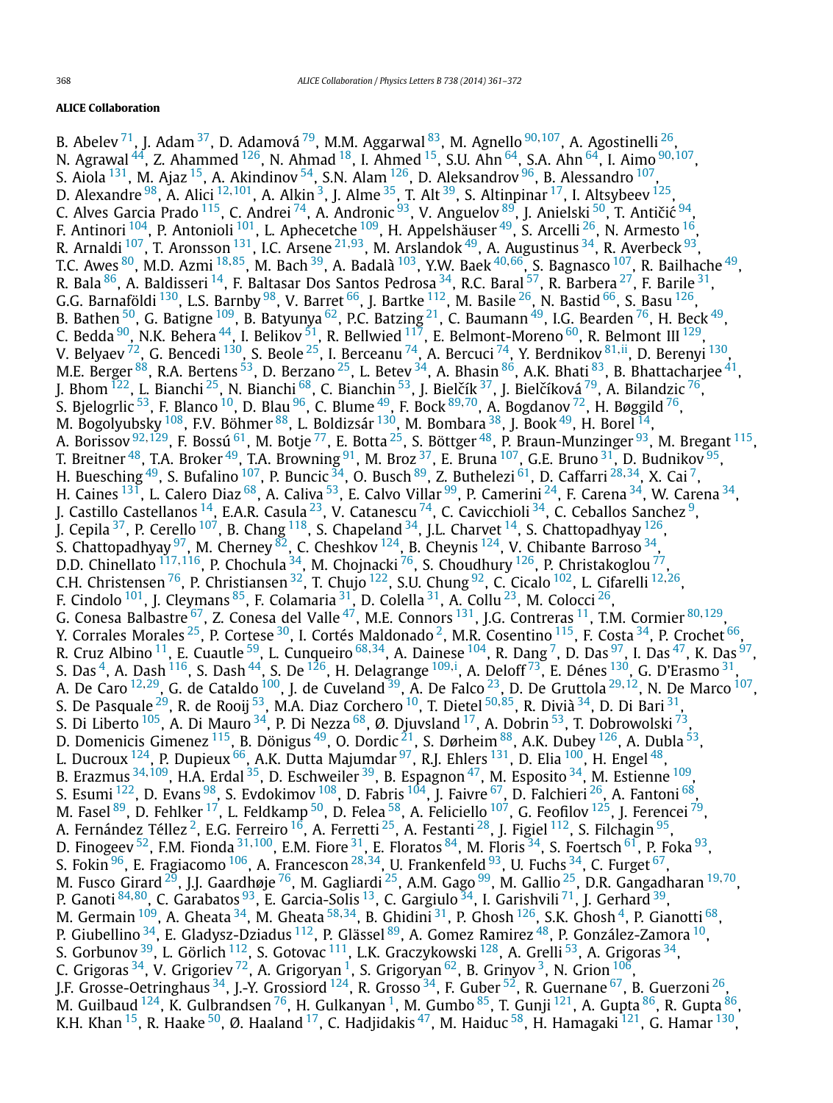#### <span id="page-7-0"></span>**ALICE Collaboration**

B. Abelev [71,](#page-10-0) J. Adam [37,](#page-10-0) D. Adamová [79,](#page-10-0) M.M. Aggarwal [83,](#page-10-0) M. Agnello [90](#page-10-0)*,*[107,](#page-11-0) A. Agostinelli [26,](#page-10-0) N. Agrawal [44](#page-10-0), Z. Ahammed [126,](#page-11-0) N. Ahmad [18,](#page-10-0) I. Ahmed [15,](#page-9-0) S.U. Ahn [64,](#page-10-0) S.A. Ahn [64,](#page-10-0) I. Aimo [90](#page-10-0)*,*[107,](#page-11-0) S. Aiola  $^{131}$ , M. Ajaz  $^{15}$ , A. Akindinov  $^{54}$ , S.N. Alam  $^{126}$ , D. Aleksandrov  $^{96}$ , B. Alessandro  $^{107}$ , D. Alexandre [98,](#page-11-0) A. Alici [12](#page-9-0)*,*[101,](#page-11-0) A. Alkin [3](#page-9-0), J. Alme [35,](#page-10-0) T. Alt [39,](#page-10-0) S. Altinpinar [17,](#page-9-0) I. Altsybeev [125,](#page-11-0) C. Alves Garcia Prado <sup>115</sup>, C. Andrei <sup>74</sup>, A. Andronic <sup>93</sup>, V. Anguelov <sup>89</sup>, J. Anielski <sup>50</sup>, T. Antičić <sup>94</sup>, F. Antinori <sup>104</sup>, P. Antonioli <sup>101</sup>, L. Aphecetche <sup>109</sup>, H. Appelshäuser <sup>49</sup>, S. Arcelli <sup>26</sup>, N. Armesto <sup>16</sup>, R. Arnaldi<sup>107</sup>, T. Aronsson<sup>131</sup>, I.C. Arsene<sup>[21](#page-10-0),93</sup>, M. Arslandok<sup>[49](#page-10-0)</sup>, A. Augustinus <sup>34</sup>, R. Averbeck <sup>93</sup>, R. Averbeck <sup>93</sup>, T.C. Awes [80,](#page-10-0) M.D. Azmi [18](#page-10-0)*,*[85,](#page-10-0) M. Bach [39,](#page-10-0) A. Badalà [103,](#page-11-0) Y.W. Baek [40](#page-10-0)*,*[66,](#page-10-0) S. Bagnasco [107,](#page-11-0) R. Bailhache [49,](#page-10-0) R. Bala $^{86}$ , A. Baldisseri  $^{14}$ , F. Baltasar Dos Santos Pedrosa $^{34}$  $^{34}$  $^{34}$ , R.C. Baral  $^{57}$ , R. Barbera  $^{27}$ , F. Barile  $^{31}$ , G.G. Barnaföldi  $^{130}$ , L.S. Barnby  $^{98}$ , V. Barret  $^{66}$ , J. Bartke  $^{112}$ , M. Basile  $^{26}$ , N. Bastid  $^{66}$ , S. Basu  $^{126}$ , B. Bathen  $^{50}$ , G. Batigne  $^{109}$ , B. Batyunya  $^{62}$ , P.C. Batzing  $^{21}$ , C. Baumann  $^{49}$ , I.G. Bearden  $^{76}$ , H. Beck  $^{49}$ , C. Bedda  $^{90}$ , N.K. Behera  $^{44}$ , I. Belikov  $^{51}$ , R. Bellwied  $^{117}$ , E. Belmont-Moreno  $^{60}$ , R. Belmont III  $^{129}$ , V. Belyaev [72,](#page-10-0) G. Bencedi [130,](#page-11-0) S. Beole [25,](#page-10-0) I. Berceanu [74](#page-10-0), A. Bercuci [74,](#page-10-0) Y. Berdnikov [81](#page-10-0)*,*[ii,](#page-11-0) D. Berenyi [130,](#page-11-0) M.E. Berger  $^{88}$ , R.A. Bertens  $^{53}$ , D. Berzano  $^{25}$ , L. Betev  $^{34}$  $^{34}$  $^{34}$ , A. Bhasin  $^{86}$  $^{86}$  $^{86}$ , A.K. Bhati  $^{83}$ , B. Bhattacharjee  $^{41}$ , J. Bhom <sup>122</sup>, L. Bianchi <sup>25</sup>, N. Bianchi <sup>68</sup>, C. Bianchin <sup>[53](#page-10-0)</sup>, J. Bielčík <sup>[37](#page-10-0)</sup>, J. Bielčíková <sup>[79](#page-10-0)</sup>, A. Bilandzic <sup>76</sup>, S. Bjelogrlic [53,](#page-10-0) F. Blanco [10,](#page-9-0) D. Blau [96,](#page-10-0) C. Blume [49,](#page-10-0) F. Bock [89](#page-10-0)*,*[70,](#page-10-0) A. Bogdanov [72,](#page-10-0) H. Bøggild [76,](#page-10-0) M. Bogolyubsky <sup>108</sup>, F.V. Böhmer <sup>88</sup>, L. Boldizsár <sup>130</sup>, M. Bombara <sup>38</sup>, J. Book <sup>49</sup>, H. Borel <sup>[14](#page-9-0)</sup>, A. Borissov [92](#page-10-0)*,*[129,](#page-11-0) F. Bossú [61](#page-10-0), M. Botje [77,](#page-10-0) E. Botta [25](#page-10-0), S. Böttger [48,](#page-10-0) P. Braun-Munzinger [93,](#page-10-0) M. Bregant [115,](#page-11-0) T. Breitner  $^{48}$ , T.A. Broker  $^{49}$  $^{49}$  $^{49}$ , T.A. Browning  $^{91}$ , M. Broz  $^{37}$ , E. Bruna  $^{107}$ , G.E. Bruno  $^{31}$  $^{31}$  $^{31}$ , D. Budnikov  $^{95}$ , H. Buesching [49,](#page-10-0) S. Bufalino [107,](#page-11-0) P. Buncic [34,](#page-10-0) O. Busch [89,](#page-10-0) Z. Buthelezi [61,](#page-10-0) D. Caffarri [28](#page-10-0)*,*[34,](#page-10-0) X. Cai [7](#page-9-0), H. Caines <sup>131</sup>, L. Calero Diaz <sup>68</sup>, A. Caliva <sup>53</sup>, E. Calvo Villar <sup>99</sup>, P. Camerini <sup>24</sup>, F. Carena <sup>34</sup>, W. Carena <sup>34</sup>, J. Castillo Castellanos <sup>14</sup>, E.A.R. Casula <sup>[23](#page-10-0)</sup>, V. Catanescu <sup>74</sup>, C. Cavicchioli <sup>34</sup>, C. Ceballos Sanchez<sup>9</sup>, J. Cepila  $^{37}$ , P. Cerello  $^{107}$  $^{107}$  $^{107}$ , B. Chang  $^{118}$ , S. Chapeland  $^{34}$ , J.L. Charvet  $^{14}$ , S. Chattopadhyay  $^{126}$ , S. Chattopadhyay  $^{97}$  $^{97}$  $^{97}$ , M. Cherney  $^{82}$ , C. Cheshkov  $^{124}$ , B. Cheynis  $^{124}$ , V. Chibante Barroso  $^{34},$ D.D. Chinellato [117](#page-11-0)*,*[116,](#page-11-0) P. Chochula [34,](#page-10-0) M. Chojnacki [76,](#page-10-0) S. Choudhury [126,](#page-11-0) P. Christakoglou [77,](#page-10-0) C.H. Christensen [76,](#page-10-0) P. Christiansen [32,](#page-10-0) T. Chujo [122,](#page-11-0) S.U. Chung [92](#page-10-0), C. Cicalo [102,](#page-11-0) L. Cifarelli [12](#page-9-0)*,*[26,](#page-10-0) F. Cindolo  $^{101}$ , J. Cleymans  $^{85}$ , F. Colamaria  $^{31}$ , D. Colella  $^{31}$ , A. Collu  $^{23}$ , M. Colocci  $^{26}$ , G. Conesa Balbastre [67,](#page-10-0) Z. Conesa del Valle [47,](#page-10-0) M.E. Connors [131,](#page-11-0) J.G. Contreras [11,](#page-9-0) T.M. Cormier [80](#page-10-0)*,*[129,](#page-11-0) Y. Corrales Morales <sup>[25](#page-10-0)</sup>, P. Cortese <sup>30</sup>, I. Cortés Maldonado <sup>2</sup>, M.R. Cosentino <sup>115</sup>, F. Costa <sup>34</sup>, P. Crochet <sup>66</sup>, R. Cruz Albino <sup>11</sup>, E. Cuautle <sup>59</sup>, L. Cunqueiro <sup>[68](#page-10-0),34</sup>, A. Dainese <sup>104</sup>, R. Dang <sup>7</sup>, D. Das <sup>97</sup>, I. Das <sup>47</sup>, K. Das <sup>97</sup>, S. Das <sup>4</sup>, A. Dash <sup>116</sup>, S. Dash <sup>44</sup>, S. De <sup>126</sup>, H. Delagrange <sup>[109](#page-11-0),[i](#page-11-0)</sup>, A. Deloff <sup>73</sup>, E. Dénes <sup>130</sup>, G. D'Erasmo <sup>31</sup>, A. De Caro [12](#page-9-0)*,*[29,](#page-10-0) G. de Cataldo [100,](#page-11-0) J. de Cuveland [39,](#page-10-0) A. De Falco [23,](#page-10-0) D. De Gruttola [29](#page-10-0)*,*[12,](#page-9-0) N. De Marco [107,](#page-11-0) S. De Pasquale [29,](#page-10-0) R. de Rooij [53,](#page-10-0) M.A. Diaz Corchero [10,](#page-9-0) T. Dietel [50](#page-10-0)*,*[85](#page-10-0), R. Divià [34,](#page-10-0) D. Di Bari [31,](#page-10-0) S. Di Liberto  $^{105}$ , A. Di Mauro  $^{34}$ , P. Di Nezza  $^{68}$ , Ø. Djuvsland  $^{17}$ , A. Dobrin  $^{53}$ , T. Dobrowolski  $^{73}$ , D. Domenicis Gimenez  $^{115}$ , B. Dönigus  $^{49}$ , O. Dordic  $^{21}$ , S. Dørheim  $^{88}$ , A.K. Dubey  $^{126}$ , A. Dubla  $^{53}$  $^{53}$  $^{53}$ , L. Ducroux <sup>[124](#page-11-0)</sup>, P. Dupieux <sup>66</sup>, A.K. Dutta Majumdar <sup>97</sup>, R.J. Ehlers <sup>131</sup>, D. Elia <sup>100</sup>, H. Engel <sup>48</sup>, B. Erazmus <sup>[34](#page-10-0),109</sup>, H.A. Erdal <sup>35</sup>, D. Eschweiler <sup>39</sup>, B. Espagnon <sup>[47](#page-10-0)</sup>, M. Esposito <sup>34</sup>, M. Estienne <sup>109</sup>, S. Esumi  $^{122}$ , D. Evans  $^{98}$ , S. Evdokimov  $^{108}$ , D. Fabris  $^{104}$ , J. Faivre  $^{67}$ , D. Falchieri  $^{26}$ , A. Fantoni  $^{68}$ , M. Fasel <sup>89</sup>, D. Fehlker <sup>17</sup>, L. Feldkamp <sup>50</sup>, D. Felea <sup>58</sup>, A. Feliciello <sup>107</sup>, G. Feofilov <sup>125</sup>, J. Ferencei <sup>[79](#page-10-0)</sup>, A. Fernández Téllez<sup>2</sup>, E.G. Ferreiro <sup>16</sup>, A. Ferretti <sup>25</sup>, A. Festanti <sup>28</sup>, J. Figiel <sup>112</sup>, S. Filchagin <sup>95</sup>, D. Finogeev [52,](#page-10-0) F.M. Fionda [31](#page-10-0)*,*[100,](#page-11-0) E.M. Fiore [31,](#page-10-0) E. Floratos [84,](#page-10-0) M. Floris [34,](#page-10-0) S. Foertsch [61,](#page-10-0) P. Foka [93,](#page-10-0) S. Fokin <sup>[96](#page-10-0)</sup>, E. Fragiacomo <sup>106</sup>, A. Francescon <sup>[28](#page-10-0),34</sup>, U. Frankenfeld <sup>93</sup>, U. Fuchs <sup>34</sup>, C. Furget <sup>67</sup>, M. Fusco Girard [29,](#page-10-0) J.J. Gaardhøje [76](#page-10-0), M. Gagliardi [25,](#page-10-0) A.M. Gago [99,](#page-11-0) M. Gallio [25,](#page-10-0) D.R. Gangadharan [19](#page-10-0)*,*[70,](#page-10-0) P. Ganoti [84](#page-10-0)*,*[80,](#page-10-0) C. Garabatos [93,](#page-10-0) E. Garcia-Solis [13,](#page-9-0) C. Gargiulo [34,](#page-10-0) I. Garishvili [71,](#page-10-0) J. Gerhard [39,](#page-10-0) M. Germain <sup>109</sup>, A. Gheata <sup>34</sup>, M. Gheata <sup>[58](#page-10-0),34</sup>, B. Ghidini <sup>31</sup>, P. Ghosh <sup>126</sup>, S.K. Ghosh <sup>4</sup>, P. Gianotti <sup>68</sup>, P. Giubellino <sup>34</sup>, E. Gladysz-Dziadus <sup>112</sup>, P. Glässel <sup>[89](#page-10-0)</sup>, A. Gomez Ramirez <sup>48</sup>, P. González-Zamora <sup>10</sup>, S. Gorbunov  $39$ , L. Görlich  $112$ , S. Gotovac  $111$ , L.K. Graczykowski  $128$ , A. Grelli  $53$ , A. Grigoras  $34$ , C. Grigoras  $^{34}$ , V. Grigoriev  $^{72}$ , A. Grigoryan  $^{1}$ , S. Grigoryan  $^{62}$  $^{62}$  $^{62}$ , B. Grinyov  $^{3}$ , N. Grion  $^{106}$ , J.F. Grosse-Oetringhaus <sup>34</sup>, J.-Y. Grossiord <sup>124</sup>, R. Grosso <sup>34</sup>, F. Guber <sup>52</sup>, R. Guernane <sup>67</sup>, B. Guerzoni <sup>26</sup>, M. Guilbaud  $^{124}$ , K. Gulbrandsen  $^{76}$ , H. Gulkanyan  $^1$ , M. Gumbo  $^{85}$  $^{85}$  $^{85}$ , T. Gunji  $^{121}$ , A. Gupta  $^{86}$ , R. Gupta  $^{86}$ , K.H. Khan <sup>15</sup>, R. Haake <sup>50</sup>, Ø. Haaland <sup>17</sup>, C. Hadjidakis <sup>47</sup>, M. Haiduc <sup>58</sup>, H. Hamagaki <sup>121</sup>, G. Hamar <sup>130</sup>,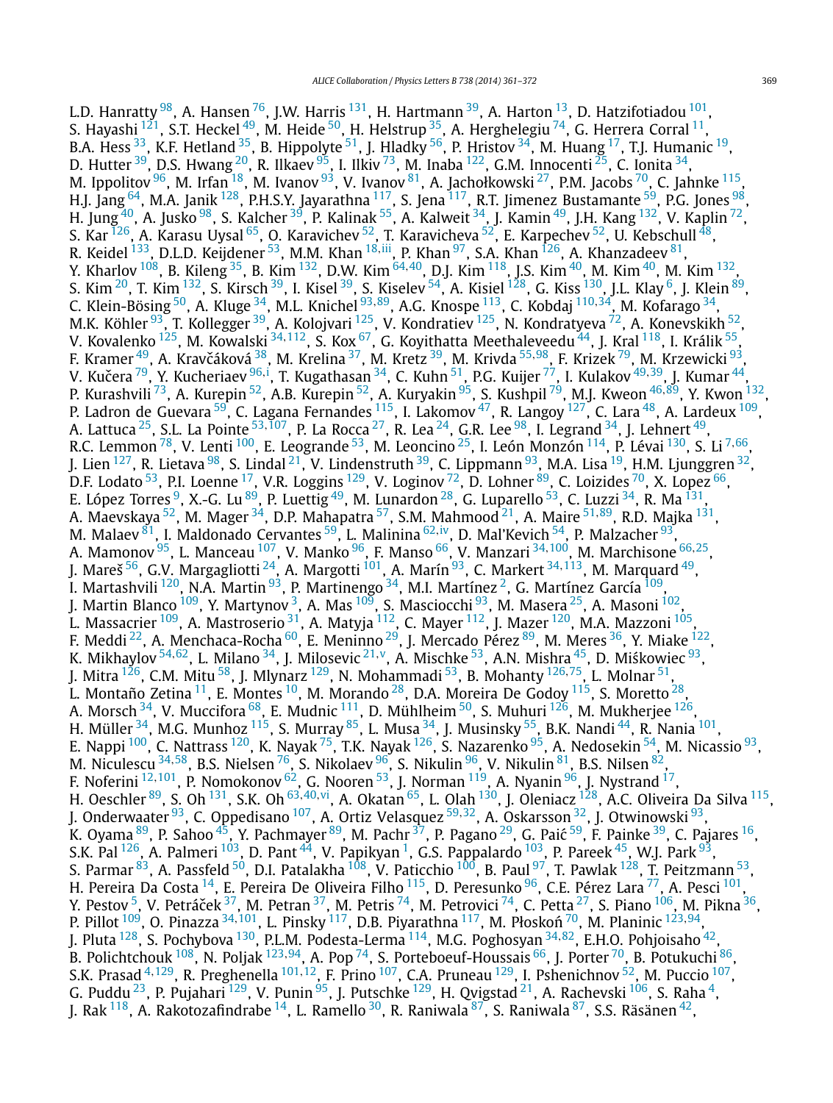L.D. Hanratty <sup>[98](#page-11-0)</sup>, A. Hansen <sup>76</sup>, J.W. Harris <sup>[131](#page-11-0)</sup>, H. Hartmann <sup>[39](#page-10-0)</sup>, A. Harton <sup>13</sup>, D. Hatzifotiadou <sup>101</sup>, S. Hayashi  $^{121}$ , S.T. Heckel  $^{49}$ , M. Heide  $^{50}$ , H. Helstrup  $^{35}$ , A. Herghelegiu  $^{74}$ , G. Herrera Corral  $^{11}$  $^{11}$  $^{11}$ , B.A. Hess  $^{33}$ , K.F. Hetland  $^{35}$ , B. Hippolyte  $^{51}$ , J. Hladky  $^{56}$ , P. Hristov  $^{34}$ , M. Huang  $^{17}$ , T.J. Humanic  $^{19}$ , D. Hutter  $^{39}$  $^{39}$  $^{39}$ , D.S. Hwang  $^{20}$ , R. Ilkaev  $^{95}$ , I. Ilkiv  $^{73}$ , M. Inaba  $^{122}$ , G.M. Innocenti  $^{25}$ , C. Ionita  $^{34}$ , M. Ippolitov <sup>[96](#page-10-0)</sup>, M. Irfan <sup>18</sup>, M. Ivanov <sup>93</sup>, V. Ivanov <sup>81</sup>, A. Jachołkowski <sup>27</sup>, P.M. Jacobs <sup>70</sup>, C. Jahnke <sup>115</sup>, H.J. Jang  $^{64}$ , M.A. Janik  $^{128}$ , P.H.S.Y. Jayarathna  $^{117}$  $^{117}$  $^{117}$ , S. Jena  $^{117}$ , R.T. Jimenez Bustamante  $^{59}$ , P.G. Jones  $^{98}$ , H. Jung  $40$ , A. Jusko  $98$ , S. Kalcher  $39$ , P. Kalinak  $55$ , A. Kalweit  $34$ , J. Kamin  $49$ , J.H. Kang  $132$ , V. Kaplin  $72$ , S. Kar <sup>126</sup>, A. Karasu Uysal <sup>65</sup>, O. Karavichev <sup>52</sup>, T. Karavicheva <sup>52</sup>, E. Karpechev <sup>52</sup>, U. Kebschull <sup>48</sup>, R. Keidel [133](#page-11-0), D.L.D. Keijdener [53](#page-10-0), M.M. Khan [18](#page-10-0)*,*[iii,](#page-11-0) P. Khan [97,](#page-11-0) S.A. Khan [126,](#page-11-0) A. Khanzadeev [81,](#page-10-0) Y. Kharlov [108,](#page-11-0) B. Kileng [35,](#page-10-0) B. Kim [132,](#page-11-0) D.W. Kim [64](#page-10-0)*,*[40,](#page-10-0) D.J. Kim [118,](#page-11-0) J.S. Kim [40,](#page-10-0) M. Kim [40,](#page-10-0) M. Kim [132,](#page-11-0) S. Kim  $^{20}$ , T. Kim  $^{132}$  $^{132}$  $^{132}$ , S. Kirsch  $^{39}$ , I. Kisel  $^{39}$ , S. Kiselev  $^{54}$  $^{54}$  $^{54}$ , A. Kisiel  $^{128}$ , G. Kiss  $^{130}$ , J.L. Klay  $^6$ , J. Klein  $^{89}$ , C. Klein-Bösing [50,](#page-10-0) A. Kluge [34,](#page-10-0) M.L. Knichel [93](#page-10-0)*,*[89,](#page-10-0) A.G. Knospe [113,](#page-11-0) C. Kobdaj [110](#page-11-0)*,*[34,](#page-10-0) M. Kofarago [34,](#page-10-0) M.K. Köhler <sup>[93](#page-10-0)</sup>, T. Kollegger <sup>39</sup>, A. Kolojvari <sup>125</sup>, V. Kondratiev <sup>125</sup>, N. Kondratyeva <sup>72</sup>, A. Konevskikh <sup>52</sup>, V. Kovalenko <sup>125</sup>, M. Kowalski <sup>[34](#page-10-0),[112](#page-11-0)</sup>, S. Kox<sup>[67](#page-10-0)</sup>, G. Koyithatta Meethaleveedu <sup>44</sup>, J. Kral <sup>118</sup>, I. Králik <sup>55</sup>, F. Kramer <sup>49</sup>, A. Kravčáková <sup>38</sup>, M. Krelina <sup>37</sup>, M. Kretz <sup>39</sup>, M. Krivda <sup>[55](#page-10-0),98</sup>, F. Krizek <sup>79</sup>, M. Krzewicki <sup>93</sup>, V. Kučera <sup>79</sup>, Y. Kucheriaev <sup>[96](#page-10-0),[i](#page-11-0)</sup>, T. Kugathasan <sup>34</sup>, C. Kuhn <sup>51</sup>, P.G. Kuijer <sup>77</sup>, I. Kulakov <sup>[49](#page-10-0),39</sup>, J. Kumar <sup>44</sup>, P. Kurashvili [73,](#page-10-0) A. Kurepin [52,](#page-10-0) A.B. Kurepin [52,](#page-10-0) A. Kuryakin [95,](#page-10-0) S. Kushpil [79,](#page-10-0) M.J. Kweon [46](#page-10-0)*,*[89,](#page-10-0) Y. Kwon [132](#page-11-0), P. Ladron de Guevara <sup>59</sup>, C. Lagana Fernandes <sup>115</sup>, I. Lakomov <sup>47</sup>, R. Langoy <sup>127</sup>, C. Lara <sup>48</sup>, A. Lardeux <sup>[109](#page-11-0)</sup>, A. Lattuca <sup>25</sup>, S.L. La Pointe <sup>[53](#page-10-0),107</sup>, P. La Rocca <sup>[27](#page-10-0)</sup>, R. Lea <sup>24</sup>, G.R. Lee <sup>98</sup>, I. Legrand <sup>34</sup>, J. Lehnert <sup>[49](#page-10-0)</sup>, R.C. Lemmon [78,](#page-10-0) V. Lenti [100](#page-11-0), E. Leogrande [53,](#page-10-0) M. Leoncino [25,](#page-10-0) I. León Monzón [114,](#page-11-0) P. Lévai [130](#page-11-0), S. Li [7](#page-9-0)*,*[66](#page-10-0), J. Lien <sup>127</sup>, R. Lietava <sup>98</sup>, S. Lindal <sup>21</sup>, V. Lindenstruth <sup>39</sup>, C. Lippmann <sup>93</sup>, M.A. Lisa <sup>19</sup>, H.M. Ljunggren <sup>32</sup>, D.F. Lodato <sup>53</sup>, P.I. Loenne <sup>17</sup>, V.R. Loggins <sup>129</sup>, V. Loginov <sup>72</sup>, D. Lohner <sup>89</sup>, C. Loizides <sup>70</sup>, X. Lopez <sup>66</sup>, E. López Torres <sup>9</sup>, X.-G. Lu  $^{89}$ , P. Luettig  $^{49}$ , M. Lunardon  $^{28}$ , G. Luparello  $^{53}$ , C. Luzzi  $^{34}$ , R. Ma  $^{131}$ , A. Maevskaya [52](#page-10-0), M. Mager [34,](#page-10-0) D.P. Mahapatra [57](#page-10-0), S.M. Mahmood [21,](#page-10-0) A. Maire [51](#page-10-0)*,*[89,](#page-10-0) R.D. Majka [131,](#page-11-0) M. Malaev [81,](#page-10-0) I. Maldonado Cervantes [59,](#page-10-0) L. Malinina [62](#page-10-0)*,*[iv](#page-11-0), D. Mal'Kevich [54,](#page-10-0) P. Malzacher [93](#page-10-0), A. Mamonov [95,](#page-10-0) L. Manceau [107,](#page-11-0) V. Manko [96](#page-10-0), F. Manso [66,](#page-10-0) V. Manzari [34](#page-10-0)*,*[100,](#page-11-0) M. Marchisone [66](#page-10-0)*,*[25,](#page-10-0) J. Mareš [56,](#page-10-0) G.V. Margagliotti [24,](#page-10-0) A. Margotti [101,](#page-11-0) A. Marín [93,](#page-10-0) C. Markert [34](#page-10-0)*,*[113,](#page-11-0) M. Marquard [49,](#page-10-0) I. Martashvili <sup>120</sup>, N.A. Martin <sup>93</sup>, P. Martinengo <sup>34</sup>, M.I. Martínez <sup>2</sup>, G. Martínez García <sup>109</sup>, J. Martin Blanco <sup>[109](#page-11-0)</sup>, Y. Martynov <sup>3</sup>, A. Mas <sup>109</sup>, S. Masciocchi <sup>93</sup>, M. Masera <sup>25</sup>, A. Masoni <sup>102</sup>, L. Massacrier <sup>109</sup>, A. Mastroserio <sup>31</sup>, A. Matyja <sup>112</sup>, C. Mayer <sup>112</sup>, J. Mazer <sup>120</sup>, M.A. Mazzoni <sup>105</sup>, F. Meddi <sup>22</sup>, A. Menchaca-Rocha <sup>60</sup>, E. Meninno <sup>29</sup>, J. Mercado Pérez <sup>89</sup>, M. Meres <sup>36</sup>, Y. Miake <sup>122</sup>, K. Mikhaylov <sup>[54](#page-10-0),62</sup>, L. Milano <sup>34</sup>, J. Milosevic <sup>[21](#page-10-0), v</sup>, A. Mischke <sup>53</sup>, A.N. Mishra <sup>45</sup>, D. Miśkowiec <sup>93</sup>, J. Mitra [126,](#page-11-0) C.M. Mitu [58,](#page-10-0) J. Mlynarz [129](#page-11-0), N. Mohammadi [53,](#page-10-0) B. Mohanty [126](#page-11-0)*,*[75,](#page-10-0) L. Molnar [51,](#page-10-0) L. Montaño Zetina  $^{11}$ , E. Montes  $^{10}$ , M. Morando  $^{28}$ , D.A. Moreira De Godoy  $^{115}$  $^{115}$  $^{115}$ , S. Moretto  $^{28},$ A. Morsch <sup>[34](#page-10-0)</sup>, V. Muccifora <sup>[68](#page-10-0)</sup>, E. Mudnic <sup>111</sup>, D. Mühlheim <sup>50</sup>, S. Muhuri <sup>126</sup>, M. Mukherjee <sup>126</sup>, H. Müller <sup>[34](#page-10-0)</sup>, M.G. Munhoz <sup>[115](#page-11-0)</sup>, S. Murray <sup>85</sup>, L. Musa <sup>34</sup>, J. Musinsky <sup>55</sup>, B.K. Nandi <sup>44</sup>, R. Nania <sup>[101](#page-11-0)</sup>, E. Nappi <sup>[100](#page-11-0)</sup>, C. Nattrass <sup>120</sup>, K. Nayak <sup>75</sup>, T.K. Nayak <sup>126</sup>, S. Nazarenko <sup>95</sup>, A. Nedosekin <sup>54</sup>, M. Nicassio <sup>93</sup>, M. Niculescu <sup>[34](#page-10-0),58</sup>, B.S. Nielsen <sup>[76](#page-10-0)</sup>, S. Nikolaev <sup>96</sup>, S. Nikulin <sup>96</sup>, V. Nikulin <sup>81</sup>, B.S. Nilsen <sup>82</sup>, F. Noferini [12](#page-9-0)*,*[101,](#page-11-0) P. Nomokonov [62,](#page-10-0) G. Nooren [53,](#page-10-0) J. Norman [119,](#page-11-0) A. Nyanin [96,](#page-10-0) J. Nystrand [17,](#page-9-0) H. Oeschler [89,](#page-10-0) S. Oh [131,](#page-11-0) S.K. Oh [63](#page-10-0)*,*[40](#page-10-0)*,*[vi,](#page-11-0) A. Okatan [65,](#page-10-0) L. Olah [130,](#page-11-0) J. Oleniacz [128,](#page-11-0) A.C. Oliveira Da Silva [115,](#page-11-0) J. Onderwaater [93,](#page-10-0) C. Oppedisano [107,](#page-11-0) A. Ortiz Velasquez [59](#page-10-0)*,*[32,](#page-10-0) A. Oskarsson [32](#page-10-0), J. Otwinowski [93,](#page-10-0) K. Oyama <sup>89</sup>, P. Sahoo <sup>[45](#page-10-0)</sup>, Y. Pachmayer <sup>89</sup>, M. Pachr <sup>37</sup>, P. Pagano <sup>29</sup>, G. Paić <sup>[59](#page-10-0)</sup>, F. Painke <sup>39</sup>, C. Pajares <sup>16</sup>, S.K. Pal  $^{126}$ , A. Palmeri  $^{103}$ , D. Pant  $^{44}$ , V. Papikyan  $^1$ , G.S. Pappalardo  $^{103}$ , P. Pareek  $^{45}$ , W.J. Park  $^{93}$ , S. Parmar <sup>83</sup>, A. Passfeld <sup>50</sup>, D.I. Patalakha <sup>108</sup>, V. Paticchio <sup>100</sup>, B. Paul <sup>97</sup>, T. Pawlak <sup>128</sup>, T. Peitzmann <sup>[53](#page-10-0)</sup>, H. Pereira Da Costa <sup>14</sup>, E. Pereira De Oliveira Filho <sup>115</sup>, D. Peresunko <sup>96</sup>, C.E. Pérez Lara <sup>77</sup>, A. Pesci <sup>101</sup>, Y. Pestov<sup>[5](#page-9-0)</sup>, V. Petráček<sup>[37](#page-10-0)</sup>, M. Petran<sup>37</sup>, M. Petris<sup>74</sup>, M. Petrovici<sup>74</sup>, C. Petta<sup>27</sup>, S. Piano <sup>106</sup>, M. Pikna<sup>36</sup>, P. Pillot [109,](#page-11-0) O. Pinazza [34](#page-10-0)*,*[101,](#page-11-0) L. Pinsky [117,](#page-11-0) D.B. Piyarathna [117,](#page-11-0) M. Płoskon´ [70](#page-10-0), M. Planinic [123](#page-11-0)*,*[94,](#page-10-0) J. Pluta [128,](#page-11-0) S. Pochybova [130,](#page-11-0) P.L.M. Podesta-Lerma [114,](#page-11-0) M.G. Poghosyan [34](#page-10-0)*,*[82,](#page-10-0) E.H.O. Pohjoisaho [42,](#page-10-0) B. Polichtchouk [108,](#page-11-0) N. Poljak [123](#page-11-0)*,*[94,](#page-10-0) A. Pop [74,](#page-10-0) S. Porteboeuf-Houssais [66,](#page-10-0) J. Porter [70,](#page-10-0) B. Potukuchi [86,](#page-10-0) S.K. Prasad [4](#page-9-0)*,*[129,](#page-11-0) R. Preghenella [101](#page-11-0)*,*[12,](#page-9-0) F. Prino [107,](#page-11-0) C.A. Pruneau [129,](#page-11-0) I. Pshenichnov [52,](#page-10-0) M. Puccio [107,](#page-11-0) G. Puddu  $^{23}$ , P. Pujahari  $^{129}$ , V. Punin  $^{95}$ , J. Putschke  $^{129}$ , H. Qvigstad  $^{21}$ , A. Rachevski  $^{106}$ , S. Raha  $^{4}$ , J. Rak <sup>118</sup>, A. Rakotozafindrabe <sup>14</sup>, L. Ramello <sup>30</sup>, R. Raniwala  $87$ , S. Raniwala  $87$ , S. S. Räsänen  $42$ ,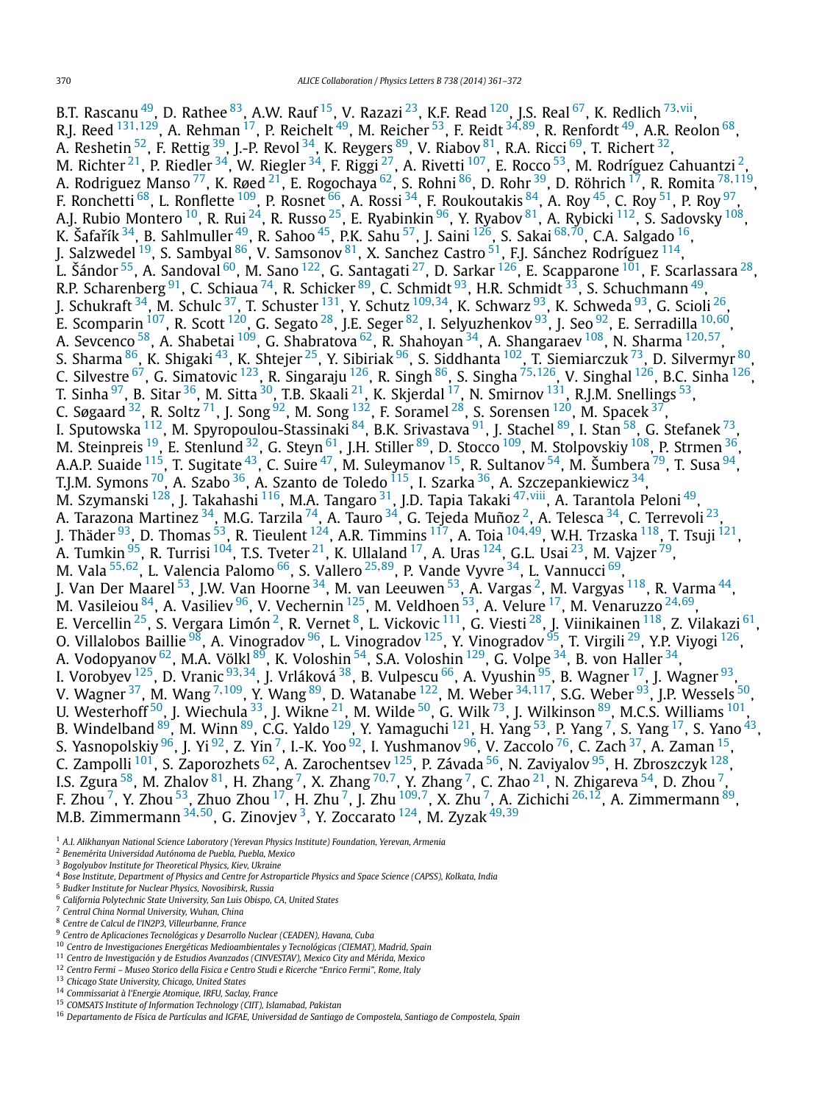<span id="page-9-0"></span>B.T. Rascanu [49,](#page-10-0) D. Rathee [83,](#page-10-0) A.W. Rauf 15, V. Razazi [23,](#page-10-0) K.F. Read [120,](#page-11-0) J.S. Real [67,](#page-10-0) K. Redlich [73](#page-10-0)*,*[vii,](#page-11-0) R.J. Reed [131](#page-11-0)*,*[129,](#page-11-0) A. Rehman 17, P. Reichelt [49,](#page-10-0) M. Reicher [53,](#page-10-0) F. Reidt [34](#page-10-0)*,*[89,](#page-10-0) R. Renfordt [49,](#page-10-0) A.R. Reolon [68,](#page-10-0) A. Reshetin <sup>52</sup>, F. Rettig <sup>39</sup>, J.-P. Revol <sup>34</sup>, K. Reygers <sup>89</sup>, V. Riabov <sup>81</sup>, R.A. Ricci <sup>69</sup>, T. Richert <sup>32</sup>, M. Richter  $^{21}$ , P. Riedler  $^{34}$ , W. Riegler  $^{34}$ , F. Riggi  $^{27}$ , A. Rivetti  $^{107}$ , E. Rocco  $^{53}$  $^{53}$  $^{53}$ , M. Rodríguez Cahuantzi  $^2$ , A. Rodriguez Manso [77,](#page-10-0) K. Røed [21,](#page-10-0) E. Rogochaya [62,](#page-10-0) S. Rohni [86,](#page-10-0) D. Rohr [39,](#page-10-0) D. Röhrich 17, R. Romita [78](#page-10-0)*,*[119,](#page-11-0) F. Ronchetti  $^{68}$  $^{68}$  $^{68}$ , L. Ronflette  $^{109}$ , P. Rosnet  $^{66}$ , A. Rossi  $^{34}$ , F. Roukoutakis  $^{84}$ , A. Roy  $^{45}$ , C. Roy  $^{51}$ , P. Roy  $^{97}$ , A.J. Rubio Montero  $^{10}$ , R. Rui  $^{24}$  $^{24}$  $^{24}$ , R. Russo  $^{25}$  $^{25}$  $^{25}$ , E. Ryabinkin  $^{96}$  $^{96}$  $^{96}$ , Y. Ryabov  $^{81}$ , A. Rybicki  $^{112}$  $^{112}$  $^{112}$ , S. Sadovsky  $^{108},$ K. Šafařík <sup>34</sup>, B. Sahlmuller <sup>49</sup>, R. Sahoo <sup>45</sup>, P.K. Sahu <sup>57</sup>, J. Saini <sup>126</sup>, S. Sakai <sup>[68](#page-10-0),70</sup>, C.A. Salgado <sup>16</sup>, J. Salzwedel <sup>[19](#page-10-0)</sup>, S. Sambyal <sup>86</sup>, V. Samsonov <sup>81</sup>, X. Sanchez Castro <sup>51</sup>, F.J. Sánchez Rodríguez <sup>114</sup>, L. Šándor <sup>55</sup>, A. Sandoval <sup>60</sup>, M. Sano <sup>122</sup>, G. Santagati <sup>27</sup>, D. Sarkar <sup>126</sup>, E. Scapparone <sup>101</sup>, F. Scarlassara <sup>28</sup>, R.P. Scharenberg  $^{91}$  $^{91}$  $^{91}$ , C. Schiaua  $^{74}$  $^{74}$  $^{74}$ , R. Schicker  $^{89}$ , C. Schmidt  $^{93}$ , H.R. Schmidt  $^{33}$ , S. Schuchmann  $^{49}$ , J. Schukraft [34,](#page-10-0) M. Schulc [37,](#page-10-0) T. Schuster [131,](#page-11-0) Y. Schutz [109](#page-11-0)*,*[34,](#page-10-0) K. Schwarz [93,](#page-10-0) K. Schweda [93,](#page-10-0) G. Scioli [26,](#page-10-0) E. Scomparin [107,](#page-11-0) R. Scott [120,](#page-11-0) G. Segato [28](#page-10-0), J.E. Seger [82,](#page-10-0) I. Selyuzhenkov [93,](#page-10-0) J. Seo [92,](#page-10-0) E. Serradilla <sup>10</sup>*,*[60,](#page-10-0) A. Sevcenco [58,](#page-10-0) A. Shabetai [109,](#page-11-0) G. Shabratova [62,](#page-10-0) R. Shahoyan [34,](#page-10-0) A. Shangaraev [108,](#page-11-0) N. Sharma [120](#page-11-0)*,*[57,](#page-10-0) S. Sharma <sup>86</sup>, K. Shigaki <sup>43</sup>, K. Shtejer <sup>25</sup>, Y. Sibiriak <sup>96</sup>, S. Siddhanta <sup>102</sup>, T. Siemiarczuk <sup>[73](#page-10-0)</sup>, D. Silvermyr <sup>80</sup>, C. Silvestre [67,](#page-10-0) G. Simatovic [123,](#page-11-0) R. Singaraju [126,](#page-11-0) R. Singh [86](#page-10-0), S. Singha [75](#page-10-0)*,*[126,](#page-11-0) V. Singhal [126,](#page-11-0) B.C. Sinha [126,](#page-11-0) T. Sinha  $^{97}$  $^{97}$  $^{97}$ , B. Sitar  $^{36}$ , M. Sitta  $^{30}$ , T.B. Skaali  $^{21}$ , K. Skjerdal  $^{17}$ , N. Smirnov  $^{131}$ , R.J.M. Snellings  $^{53}$ , C. Søgaard  $^{32}$ , R. Soltz  $^{71}$ , J. Song  $^{92}$ , M. Song  $^{132}$ , F. Soramel  $^{28}$ , S. Sorensen  $^{120}$ , M. Spacek  $^{37}$ , I. Sputowska <sup>112</sup>, M. Spyropoulou-Stassinaki <sup>84</sup>, B.K. Srivastava <sup>91</sup>, J. Stachel <sup>89</sup>, I. Stan <sup>58</sup>, G. Stefanek <sup>73</sup>, M. Steinpreis  $^{19}$ , E. Stenlund  $^{32}$ , G. Steyn  $^{61}$ , J.H. Stiller  $^{89}$ , D. Stocco  $^{109}$ , M. Stolpovskiy  $^{108}$ , P. Strmen  $^{36}$ , A.A.P. Suaide <sup>115</sup>, T. Sugitate <sup>43</sup>, C. Suire <sup>47</sup>, M. Suleymanov <sup>15</sup>, R. Sultanov <sup>54</sup>, M. Šumbera <sup>[79](#page-10-0)</sup>, T. Susa <sup>94</sup>, T.J.M. Symons <sup>70</sup>, A. Szabo <sup>36</sup>, A. Szanto de Toledo <sup>115</sup>, I. Szarka <sup>36</sup>, A. Szczepankiewicz <sup>34</sup>, M. Szymanski [128,](#page-11-0) J. Takahashi [116,](#page-11-0) M.A. Tangaro [31,](#page-10-0) J.D. Tapia Takaki [47](#page-10-0)*,*[viii,](#page-11-0) A. Tarantola Peloni [49,](#page-10-0) A. Tarazona Martinez  $^{34}$ , M.G. Tarzila  $^{74}$ , A. Tauro  $^{34}$ , G. Tejeda Muñoz  $^2$ , A. Telesca  $^{34}$ , C. Terrevoli  $^{23}$ , J. Thäder [93](#page-10-0), D. Thomas [53,](#page-10-0) R. Tieulent [124,](#page-11-0) A.R. Timmins [117,](#page-11-0) A. Toia [104](#page-11-0)*,*[49,](#page-10-0) W.H. Trzaska [118,](#page-11-0) T. Tsuji [121,](#page-11-0) A. Tumkin  $^{95}$ , R. Turrisi  $^{104}$ , T.S. Tveter  $^{21}$ , K. Ullaland  $^{17}$ , A. Uras  $^{124}$ , G.L. Usai  $^{23}$ , M. Vajzer  $^{79}$ , M. Vala [55](#page-10-0)*,*[62](#page-10-0), L. Valencia Palomo [66](#page-10-0), S. Vallero [25](#page-10-0)*,*[89,](#page-10-0) P. Vande Vyvre [34,](#page-10-0) L. Vannucci [69,](#page-10-0) J. Van Der Maarel <sup>53</sup>, J.W. Van Hoorne <sup>34</sup>, M. van Leeuwen <sup>53</sup>, A. Vargas <sup>2</sup>, M. Vargyas <sup>118</sup>, R. Varma <sup>44</sup>, M. Vasileiou [84,](#page-10-0) A. Vasiliev [96,](#page-10-0) V. Vechernin [125,](#page-11-0) M. Veldhoen [53](#page-10-0), A. Velure 17, M. Venaruzzo [24](#page-10-0)*,*[69,](#page-10-0) E. Vercellin <sup>[25](#page-10-0)</sup>, S. Vergara Limón <sup>2</sup>, R. Vernet <sup>8</sup>, L. Vickovic <sup>111</sup>, G. Viesti <sup>28</sup>, J. Viinikainen <sup>118</sup>, Z. Vilakazi <sup>61</sup>, O. Villalobos Baillie <sup>98</sup>, A. Vinogradov <sup>96</sup>, L. Vinogradov <sup>125</sup>, Y. Vinogradov <sup>95</sup>, T. Virgili <sup>29</sup>, Y.P. Viyogi <sup>126</sup>, A. Vodopyanov <sup>62</sup>, M.A. Völkl <sup>89</sup>, K. Voloshin <sup>54</sup>, S.A. Voloshin <sup>129</sup>, G. Volpe <sup>34</sup>, B. von Haller <sup>34</sup>, I. Vorobyev [125,](#page-11-0) D. Vranic [93](#page-10-0)*,*[34](#page-10-0), J. Vrláková [38,](#page-10-0) B. Vulpescu [66,](#page-10-0) A. Vyushin [95](#page-10-0), B. Wagner 17, J. Wagner [93,](#page-10-0) V. Wagner <sup>37</sup>, M. Wang <sup>7,109</sup>, Y. Wang <sup>89</sup>, D. Watanabe <sup>[122](#page-11-0)</sup>, M. Weber <sup>[34](#page-10-0),117</sup>, S.G. Weber <sup>93</sup>, J.P. Wessels <sup>50</sup>, U. Westerhoff  $^{50}$ , J. Wiechula  $^{33}$ , J. Wikne  $^{21}$  $^{21}$  $^{21}$ , M. Wilde  $^{50}$ , G. Wilk  $^{73}$ , J. Wilkinson  $^{89}$ , M.C.S. Williams  $^{101}$ , B. Windelband  $^{89}$ , M. Winn  $^{89}$ , C.G. Yaldo  $^{129}$ , Y. Yamaguchi  $^{121}$ , H. Yang  $^{53}$ , P. Yang  $^7$ , S. Yang  $^{17}$ , S. Yano  $^{43}$ , S. Yasnopolskiy <sup>96</sup>, J. Yi <sup>[92](#page-10-0)</sup>, Z. Yin <sup>7</sup>, I.-K. Yoo <sup>92</sup>, I. Yushmanov <sup>96</sup>, V. Zaccolo <sup>76</sup>, C. Zach <sup>37</sup>, A. Zaman <sup>15</sup>, C. Zampolli <sup>101</sup>, S. Zaporozhets <sup>62</sup>, A. Zarochentsev <sup>125</sup>, P. Závada <sup>56</sup>, N. Zaviyalov <sup>95</sup>, H. Zbroszczyk <sup>128</sup>, I.S. Zgura [58,](#page-10-0) M. Zhalov [81,](#page-10-0) H. Zhang 7, X. Zhang [70](#page-10-0)*,*7, Y. Zhang 7, C. Zhao [21](#page-10-0), N. Zhigareva [54,](#page-10-0) D. Zhou 7, F. Zhou 7, Y. Zhou [53,](#page-10-0) Zhuo Zhou 17, H. Zhu 7, J. Zhu [109](#page-11-0)*,*7, X. Zhu 7, A. Zichichi [26](#page-10-0)*,*12, A. Zimmermann [89,](#page-10-0) M.B. Zimmermann [34](#page-10-0)*,*[50,](#page-10-0) G. Zinovjev 3, Y. Zoccarato [124,](#page-11-0) M. Zyzak [49](#page-10-0)*,*[39](#page-10-0)

- <sup>1</sup> *A.I. Alikhanyan National Science Laboratory (Yerevan Physics Institute) Foundation, Yerevan, Armenia*
- <sup>2</sup> *Benemérita Universidad Autónoma de Puebla, Puebla, Mexico*
- <sup>3</sup> *Bogolyubov Institute for Theoretical Physics, Kiev, Ukraine*
- Bose Institute, Department of Physics and Centre for Astroparticle Physics and Space Science (CAPSS), Kolkata, India
- <sup>5</sup> *Budker Institute for Nuclear Physics, Novosibirsk, Russia* <sup>6</sup> *California Polytechnic State University, San Luis Obispo, CA, United States*
- <sup>7</sup> *Central China Normal University, Wuhan, China*
- <sup>8</sup> *Centre de Calcul de l'IN2P3, Villeurbanne, France*
- <sup>9</sup> *Centro de Aplicaciones Tecnológicas y Desarrollo Nuclear (CEADEN), Havana, Cuba*
- <sup>10</sup> *Centro de Investigaciones Energéticas Medioambientales y Tecnológicas (CIEMAT), Madrid, Spain*
- <sup>11</sup> *Centro de Investigación y de Estudios Avanzados (CINVESTAV), Mexico City and Mérida, Mexico*
- <sup>12</sup> *Centro Fermi – Museo Storico della Fisica e Centro Studi e Ricerche "Enrico Fermi", Rome, Italy*
- <sup>13</sup> *Chicago State University, Chicago, United States*
- <sup>14</sup> *Commissariat à l'Energie Atomique, IRFU, Saclay, France*
- <sup>15</sup> *COMSATS Institute of Information Technology (CIIT), Islamabad, Pakistan*
- <sup>16</sup> Departamento de Física de Partículas and IGFAE, Universidad de Santiago de Compostela, Santiago de Compostela, Spain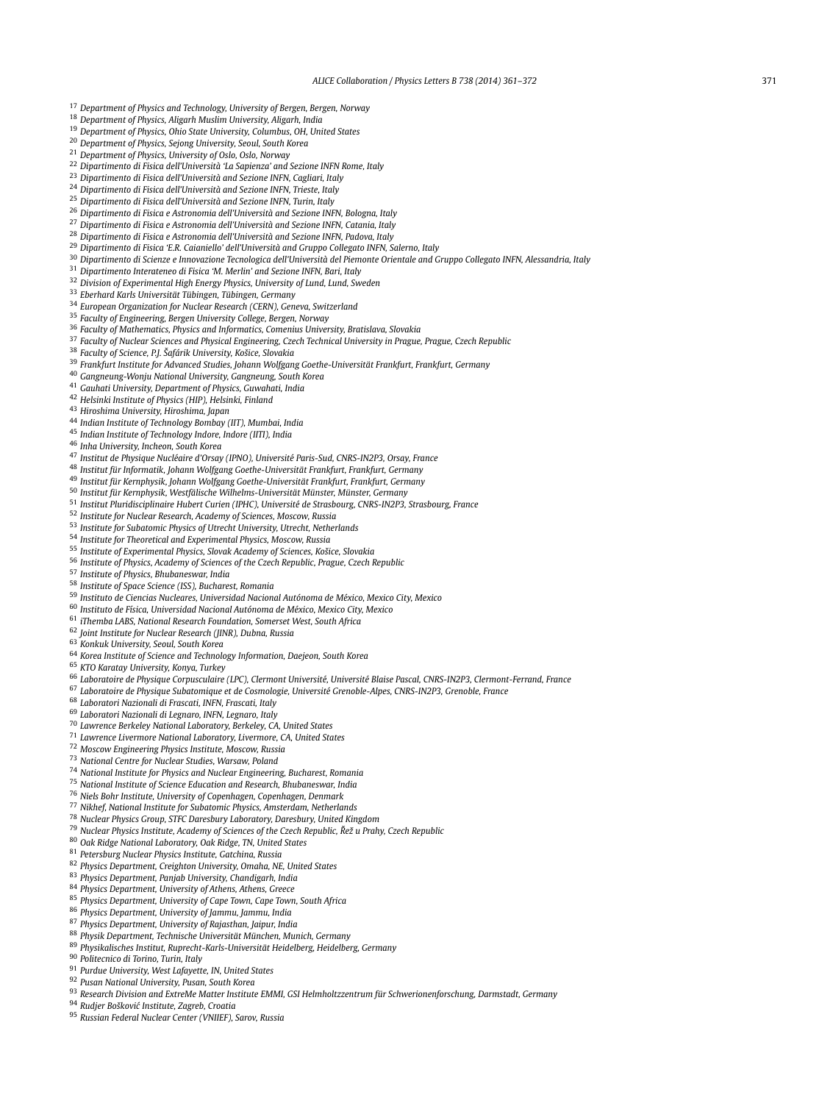<span id="page-10-0"></span>*Department of Physics and Technology, University of Bergen, Bergen, Norway*

*Department of Physics, Aligarh Muslim University, Aligarh, India*

*Department of Physics, Ohio State University, Columbus, OH, United States*

*Department of Physics, Sejong University, Seoul, South Korea*

*Department of Physics, University of Oslo, Oslo, Norway*

*Dipartimento di Fisica dell'Università 'La Sapienza' and Sezione INFN Rome, Italy*

*Dipartimento di Fisica dell'Università and Sezione INFN, Cagliari, Italy*

*Dipartimento di Fisica dell'Università and Sezione INFN, Trieste, Italy*

*Dipartimento di Fisica dell'Università and Sezione INFN, Turin, Italy*

*Dipartimento di Fisica e Astronomia dell'Università and Sezione INFN, Bologna, Italy*

*Dipartimento di Fisica e Astronomia dell'Università and Sezione INFN, Catania, Italy*

*Dipartimento di Fisica e Astronomia dell'Università and Sezione INFN, Padova, Italy*

*Dipartimento di Fisica 'E.R. Caianiello' dell'Università and Gruppo Collegato INFN, Salerno, Italy*

<sup>30</sup> Dipartimento di Scienze e Innovazione Tecnologica dell'Università del Piemonte Orientale and Gruppo Collegato INFN, Alessandria, Italy

*Dipartimento Interateneo di Fisica 'M. Merlin' and Sezione INFN, Bari, Italy*

*Division of Experimental High Energy Physics, University of Lund, Lund, Sweden*

*Eberhard Karls Universität Tübingen, Tübingen, Germany*

*European Organization for Nuclear Research (CERN), Geneva, Switzerland*

*Faculty of Engineering, Bergen University College, Bergen, Norway*

*Faculty of Mathematics, Physics and Informatics, Comenius University, Bratislava, Slovakia*

*Faculty of Nuclear Sciences and Physical Engineering, Czech Technical University in Prague, Prague, Czech Republic*

*Faculty of Science, P.J. Šafárik University, Košice, Slovakia*

*Frankfurt Institute for Advanced Studies, Johann Wolfgang Goethe-Universität Frankfurt, Frankfurt, Germany*

*Gangneung-Wonju National University, Gangneung, South Korea*

*Gauhati University, Department of Physics, Guwahati, India*

*Helsinki Institute of Physics (HIP), Helsinki, Finland*

*Hiroshima University, Hiroshima, Japan*

*Indian Institute of Technology Bombay (IIT), Mumbai, India*

*Indian Institute of Technology Indore, Indore (IITI), India*

*Inha University, Incheon, South Korea*

*Institut de Physique Nucléaire d'Orsay (IPNO), Université Paris-Sud, CNRS-IN2P3, Orsay, France*

*Institut für Informatik, Johann Wolfgang Goethe-Universität Frankfurt, Frankfurt, Germany*

*Institut für Kernphysik, Johann Wolfgang Goethe-Universität Frankfurt, Frankfurt, Germany*

*Institut für Kernphysik, Westfälische Wilhelms-Universität Münster, Münster, Germany*

*Institut Pluridisciplinaire Hubert Curien (IPHC), Université de Strasbourg, CNRS-IN2P3, Strasbourg, France*

*Institute for Nuclear Research, Academy of Sciences, Moscow, Russia*

*Institute for Subatomic Physics of Utrecht University, Utrecht, Netherlands*

*Institute for Theoretical and Experimental Physics, Moscow, Russia*

*Institute of Experimental Physics, Slovak Academy of Sciences, Košice, Slovakia*

*Institute of Physics, Academy of Sciences of the Czech Republic, Prague, Czech Republic*

*Institute of Physics, Bhubaneswar, India*

*Institute of Space Science (ISS), Bucharest, Romania*

*Instituto de Ciencias Nucleares, Universidad Nacional Autónoma de México, Mexico City, Mexico*

*Instituto de Física, Universidad Nacional Autónoma de México, Mexico City, Mexico*

*iThemba LABS, National Research Foundation, Somerset West, South Africa*

*Joint Institute for Nuclear Research (JINR), Dubna, Russia*

*Konkuk University, Seoul, South Korea*

*Korea Institute of Science and Technology Information, Daejeon, South Korea*

*KTO Karatay University, Konya, Turkey*

*Laboratoire de Physique Corpusculaire (LPC), Clermont Université, Université Blaise Pascal, CNRS-IN2P3, Clermont-Ferrand, France*

*Laboratoire de Physique Subatomique et de Cosmologie, Université Grenoble-Alpes, CNRS-IN2P3, Grenoble, France*

*Laboratori Nazionali di Frascati, INFN, Frascati, Italy*

*Laboratori Nazionali di Legnaro, INFN, Legnaro, Italy*

*Lawrence Berkeley National Laboratory, Berkeley, CA, United States*

*Lawrence Livermore National Laboratory, Livermore, CA, United States*

*Moscow Engineering Physics Institute, Moscow, Russia*

*National Centre for Nuclear Studies, Warsaw, Poland*

*National Institute for Physics and Nuclear Engineering, Bucharest, Romania*

*National Institute of Science Education and Research, Bhubaneswar, India*

*Niels Bohr Institute, University of Copenhagen, Copenhagen, Denmark*

*Nikhef, National Institute for Subatomic Physics, Amsterdam, Netherlands*

*Nuclear Physics Group, STFC Daresbury Laboratory, Daresbury, United Kingdom*

*Nuclear Physics Institute, Academy of Sciences of the Czech Republic, Rež ˇ u Prahy, Czech Republic*

*Oak Ridge National Laboratory, Oak Ridge, TN, United States*

*Petersburg Nuclear Physics Institute, Gatchina, Russia*

*Physics Department, Creighton University, Omaha, NE, United States*

*Physics Department, Panjab University, Chandigarh, India*

*Physics Department, University of Athens, Athens, Greece*

*Physics Department, University of Cape Town, Cape Town, South Africa*

*Physics Department, University of Jammu, Jammu, India*

*Physics Department, University of Rajasthan, Jaipur, India*

*Physik Department, Technische Universität München, Munich, Germany*

*Physikalisches Institut, Ruprecht-Karls-Universität Heidelberg, Heidelberg, Germany*

*Politecnico di Torino, Turin, Italy*

*Purdue University, West Lafayette, IN, United States*

*Pusan National University, Pusan, South Korea*

*Research Division and ExtreMe Matter Institute EMMI, GSI Helmholtzzentrum für Schwerionenforschung, Darmstadt, Germany*

*Rudjer Boškovi´c Institute, Zagreb, Croatia*

*Russian Federal Nuclear Center (VNIIEF), Sarov, Russia*